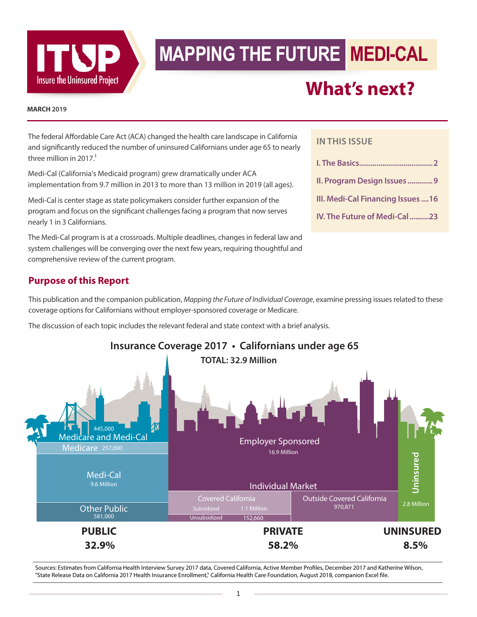

# **MAPPING THE FUTURE MEDI-CAL**

# **What's next?**

#### **MARCH 2019**

The federal Affordable Care Act (ACA) changed the health care landscape in California and significantly reduced the number of uninsured Californians under age 65 to nearly three million in  $2017<sup>1</sup>$ 

Medi-Cal (California's Medicaid program) grew dramatically under ACA implementation from 9.7 million in 2013 to more than 13 million in 2019 (all ages).

Medi-Cal is center stage as state policymakers consider further expansion of the program and focus on the significant challenges facing a program that now serves nearly 1 in 3 Californians.

The Medi-Cal program is at a crossroads. Multiple deadlines, changes in federal law and system challenges will be converging over the next few years, requiring thoughtful and comprehensive review of the current program.

## **Purpose of this Report**

This publication and the companion publication, *Mapping the Future of Individual Coverage*, examine pressing issues related to these coverage options for Californians without employer-sponsored coverage or Medicare.

The discussion of each topic includes the relevant federal and state context with a brief analysis.



Sources: Estimates from California Health Interview Survey 2017 data, Covered California, Active Member Profiles, December 2017 and Katherine Wilson, "State Release Data on California 2017 Health Insurance Enrollment," California Health Care Foundation, August 2018, companion Excel file.

#### **IN THIS ISSUE**

| II. Program Design Issues9        |
|-----------------------------------|
| III. Medi-Cal Financing Issues 16 |
| IV. The Future of Medi-Cal23      |
|                                   |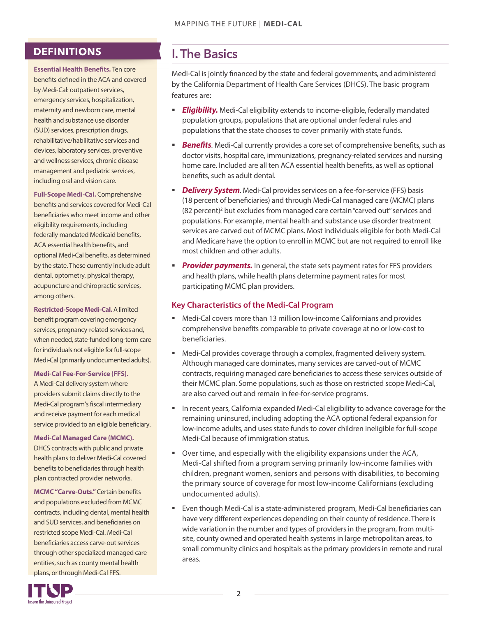## <span id="page-1-0"></span>**DEFINITIONS**

**Essential Health Benefits.** Ten core benefits defined in the ACA and covered by Medi-Cal: outpatient services, emergency services, hospitalization, maternity and newborn care, mental health and substance use disorder (SUD) services, prescription drugs, rehabilitative/habilitative services and devices, laboratory services, preventive and wellness services, chronic disease management and pediatric services, including oral and vision care.

**Full-Scope Medi-Cal.** Comprehensive benefits and services covered for Medi-Cal beneficiaries who meet income and other eligibility requirements, including federally mandated Medicaid benefits, ACA essential health benefits, and optional Medi-Cal benefits, as determined by the state. These currently include adult dental, optometry, physical therapy, acupuncture and chiropractic services, among others.

**Restricted-Scope Medi-Cal.** A limited benefit program covering emergency services, pregnancy-related services and, when needed, state-funded long-term care for individuals not eligible for full-scope Medi-Cal (primarily undocumented adults).

#### **Medi-Cal Fee-For-Service (FFS).**

A Medi-Cal delivery system where providers submit claims directly to the Medi-Cal program's fiscal intermediary and receive payment for each medical service provided to an eligible beneficiary.

#### **Medi-Cal Managed Care (MCMC).**

DHCS contracts with public and private health plans to deliver Medi-Cal covered benefits to beneficiaries through health plan contracted provider networks.

**MCMC "Carve-Outs."**Certain benefits and populations excluded from MCMC contracts, including dental, mental health and SUD services, and beneficiaries on restricted scope Medi-Cal. Medi-Cal beneficiaries access carve-out services through other specialized managed care entities, such as county mental health plans, or through Medi-Cal FFS.

## I. The Basics

Medi-Cal is jointly financed by the state and federal governments, and administered by the California Department of Health Care Services (DHCS). The basic program features are:

- **Eligibility.** Medi-Cal eligibility extends to income-eligible, federally mandated population groups, populations that are optional under federal rules and populations that the state chooses to cover primarily with state funds.
- **Benefits**. Medi-Cal currently provides a core set of comprehensive benefits, such as doctor visits, hospital care, immunizations, pregnancy-related services and nursing home care. Included are all ten ACA essential health benefits, as well as optional benefits, such as adult dental.
- *Delivery System.* Medi-Cal provides services on a fee-for-service (FFS) basis (18 percent of beneficiaries) and through Medi-Cal managed care (MCMC) plans (82 percent)<sup>2</sup> but excludes from managed care certain "carved out" services and populations. For example, mental health and substance use disorder treatment services are carved out of MCMC plans. Most individuals eligible for both Medi-Cal and Medicare have the option to enroll in MCMC but are not required to enroll like most children and other adults.
- **Provider payments.** In general, the state sets payment rates for FFS providers and health plans, while health plans determine payment rates for most participating MCMC plan providers.

#### **Key Characteristics of the Medi-Cal Program**

- Medi-Cal covers more than 13 million low-income Californians and provides comprehensive benefits comparable to private coverage at no or low-cost to beneficiaries.
- Medi-Cal provides coverage through a complex, fragmented delivery system. Although managed care dominates, many services are carved-out of MCMC contracts, requiring managed care beneficiaries to access these services outside of their MCMC plan. Some populations, such as those on restricted scope Medi-Cal, are also carved out and remain in fee-for-service programs.
- **In recent years, California expanded Medi-Cal eligibility to advance coverage for the** remaining uninsured, including adopting the ACA optional federal expansion for low-income adults, and uses state funds to cover children ineligible for full-scope Medi-Cal because of immigration status.
- Over time, and especially with the eligibility expansions under the ACA, Medi-Cal shifted from a program serving primarily low-income families with children, pregnant women, seniors and persons with disabilities, to becoming the primary source of coverage for most low-income Californians (excluding undocumented adults).
- Even though Medi-Cal is a state-administered program, Medi-Cal beneficiaries can have very different experiences depending on their county of residence. There is wide variation in the number and types of providers in the program, from multisite, county owned and operated health systems in large metropolitan areas, to small community clinics and hospitals as the primary providers in remote and rural areas.

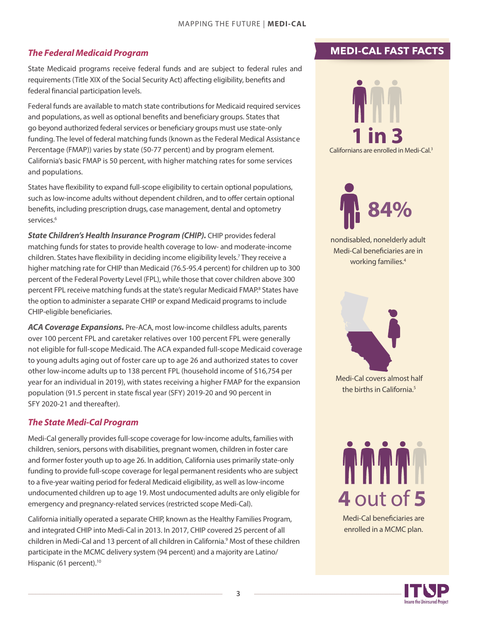#### <span id="page-2-0"></span>*The Federal* **Medicaid** *Program[3](#page-25-0) [4](#page-25-0) [5](#page-25-0)*

State Medicaid programs receive federal funds and are subject to federal rules and requirements (Title XIX of the Social Security Act) affecting eligibility, benefits and federal financial participation levels.

Federal funds are available to match state contributions for Medicaid required services and populations, as well as optional benefits and beneficiary groups. States that go beyond authorized federal services or beneficiary groups must use state-only funding. The level of federal matching funds (known as the Federal Medical Assistance Percentage (FMAP)) varies by state (50-77 percent) and by program element. California's basic FMAP is 50 percent, with higher matching rates for some services and populations.

States have flexibility to expand full-scope eligibility to certain optional populations, such as low-income adults without dependent children, and to offer certain optional benefits, including prescription drugs, case management, dental and optometry services.<sup>6</sup>

**State Children's Health Insurance Program (CHIP).** CHIP provides federal matching funds for states to provide health coverage to low- and moderate-income children. States have flexibility in deciding income eligibility levels.<sup>[7](#page-25-0)</sup> They receive a higher matching rate for CHIP than Medicaid (76.5-95.4 percent) for children up to 300 percent of the Federal Poverty Level (FPL), while those that cover children above 300 percent FPL receive matching funds at the state's regular Medicaid FMAP.<sup>[8](#page-25-0)</sup> States have the option to administer a separate CHIP or expand Medicaid programs to include CHIP-eligible beneficiaries.

*ACA Coverage Expansions.* Pre-ACA, most low-income childless adults, parents over 100 percent FPL and caretaker relatives over 100 percent FPL were generally not eligible for full-scope Medicaid. The ACA expanded full-scope Medicaid coverage to young adults aging out of foster care up to age 26 and authorized states to cover other low-income adults up to 138 percent FPL (household income of \$16,754 per year for an individual in 2019), with states receiving a higher FMAP for the expansion population (91.5 percent in state fiscal year (SFY) 2019-20 and 90 percent in SFY 2020-21 and thereafter).

#### *The State Medi-Cal Program*

Medi-Cal generally provides full-scope coverage for low-income adults, families with children, seniors, persons with disabilities, pregnant women, children in foster care and former foster youth up to age 26. In addition, California uses primarily state-only funding to provide full-scope coverage for legal permanent residents who are subject to a five-year waiting period for federal Medicaid eligibility, as well as low-income undocumented children up to age 19. Most undocumented adults are only eligible for emergency and pregnancy-related services (restricted scope Medi-Cal).

California initially operated a separate CHIP, known as the Healthy Families Program, and integrated CHIP into Medi-Cal in 2013. In 2017, CHIP covered 25 percent of all children in Medi-Cal and 13 percent of all children in California. [9](#page-25-0) Most of these children participate in the MCMC delivery system (94 percent) and a majority are Latino/ Hispanic (61 percent).<sup>[10](#page-25-0)</sup>

## **MEDI-CAL FAST FACTS**





nondisabled, nonelderly adult Medi-Cal beneficiaries are in working families.<sup>4</sup>



Medi-Cal covers almost half the births in California.<sup>5</sup>



Medi-Cal beneficiaries are enrolled in a MCMC plan.

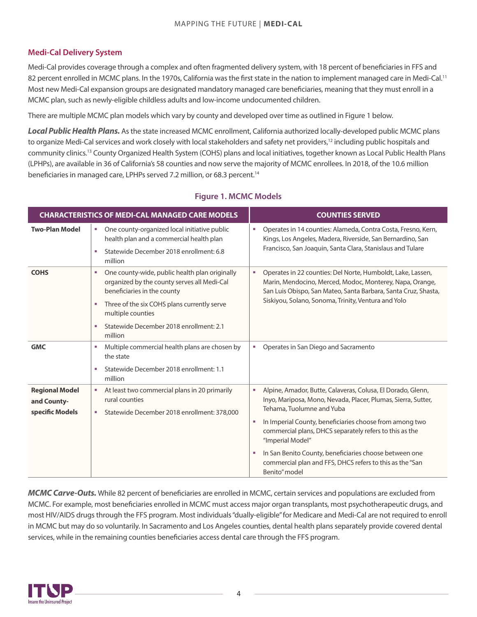#### <span id="page-3-0"></span>**Medi-Cal Delivery System**

Medi-Cal provides coverage through a complex and often fragmented delivery system, with 18 percent of beneficiaries in FFS and 82 percent enrolled in MCMC plans. In the 1970s, California was the first state in the nation to implement managed care in Medi-Cal.<sup>11</sup> Most new Medi-Cal expansion groups are designated mandatory managed care beneficiaries, meaning that they must enroll in a MCMC plan, such as newly-eligible childless adults and low-income undocumented children.

There are multiple MCMC plan models which vary by county and developed over time as outlined in Figure 1 below.

*Local Public Health Plans.* As the state increased MCMC enrollment, California authorized locally-developed public MCMC plans to organize Medi-Cal services and work closely with local stakeholders and safety net providers,<sup>12</sup> including public hospitals and community clinics.[13](#page-25-0) County Organized Health System (COHS) plans and local initiatives, together known as Local Public Health Plans (LPHPs), are available in 36 of California's 58 counties and now serve the majority of MCMC enrollees. In 2018, of the 10.6 million beneficiaries in managed care, LPHPs served 7.2 million, or 68.3 percent.<sup>[14](#page-25-0)</sup>

| <b>CHARACTERISTICS OF MEDI-CAL MANAGED CARE MODELS</b>  |                                                                                                                                                                                                                                                                        | <b>COUNTIES SERVED</b>                                                                                                                                                                                                                                                                                                                                                                                                                                    |
|---------------------------------------------------------|------------------------------------------------------------------------------------------------------------------------------------------------------------------------------------------------------------------------------------------------------------------------|-----------------------------------------------------------------------------------------------------------------------------------------------------------------------------------------------------------------------------------------------------------------------------------------------------------------------------------------------------------------------------------------------------------------------------------------------------------|
| <b>Two-Plan Model</b>                                   | One county-organized local initiative public<br>u.<br>health plan and a commercial health plan<br>Statewide December 2018 enrollment: 6.8<br>×<br>million                                                                                                              | Operates in 14 counties: Alameda, Contra Costa, Fresno, Kern,<br>×<br>Kings, Los Angeles, Madera, Riverside, San Bernardino, San<br>Francisco, San Joaquin, Santa Clara, Stanislaus and Tulare                                                                                                                                                                                                                                                            |
| <b>COHS</b>                                             | One county-wide, public health plan originally<br>٠<br>organized by the county serves all Medi-Cal<br>beneficiaries in the county<br>Three of the six COHS plans currently serve<br>a.<br>multiple counties<br>Statewide December 2018 enrollment: 2.1<br>×<br>million | Operates in 22 counties: Del Norte, Humboldt, Lake, Lassen,<br>×<br>Marin, Mendocino, Merced, Modoc, Monterey, Napa, Orange,<br>San Luis Obispo, San Mateo, Santa Barbara, Santa Cruz, Shasta,<br>Siskiyou, Solano, Sonoma, Trinity, Ventura and Yolo                                                                                                                                                                                                     |
| <b>GMC</b>                                              | Multiple commercial health plans are chosen by<br>×<br>the state<br>Statewide December 2018 enrollment: 1.1<br>u,<br>million                                                                                                                                           | Operates in San Diego and Sacramento<br>×.                                                                                                                                                                                                                                                                                                                                                                                                                |
| <b>Regional Model</b><br>and County-<br>specific Models | At least two commercial plans in 20 primarily<br>×.<br>rural counties<br>Statewide December 2018 enrollment: 378,000<br>٠                                                                                                                                              | Alpine, Amador, Butte, Calaveras, Colusa, El Dorado, Glenn,<br>٠<br>Inyo, Mariposa, Mono, Nevada, Placer, Plumas, Sierra, Sutter,<br>Tehama, Tuolumne and Yuba<br>In Imperial County, beneficiaries choose from among two<br>×<br>commercial plans, DHCS separately refers to this as the<br>"Imperial Model"<br>In San Benito County, beneficiaries choose between one<br>×<br>commercial plan and FFS, DHCS refers to this as the "San<br>Benito" model |

#### **Figure 1. MCMC Models**

*MCMC Carve-Outs.* While 82 percent of beneficiaries are enrolled in MCMC, certain services and populations are excluded from MCMC. For example, most beneficiaries enrolled in MCMC must access major organ transplants, most psychotherapeutic drugs, and most HIV/AIDS drugs through the FFS program. Most individuals "dually-eligible" for Medicare and Medi-Cal are not required to enroll in MCMC but may do so voluntarily. In Sacramento and Los Angeles counties, dental health plans separately provide covered dental services, while in the remaining counties beneficiaries access dental care through the FFS program.

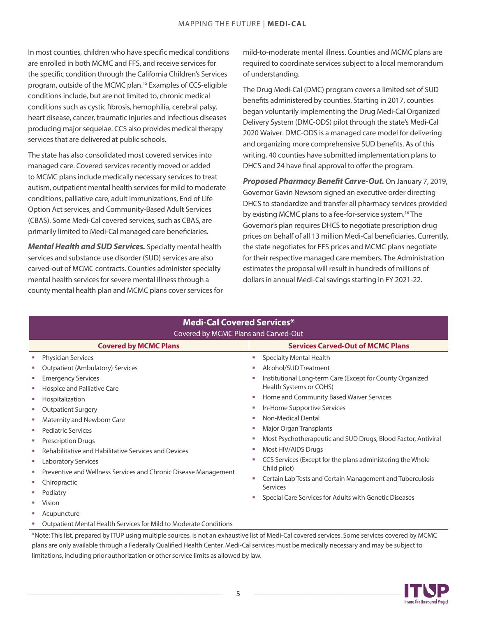<span id="page-4-0"></span>In most counties, children who have specific medical conditions are enrolled in both MCMC and FFS, and receive services for the specific condition through the California Children's Services program, outside of the MCMC plan[.15](#page-25-0) Examples of CCS-eligible conditions include, but are not limited to, chronic medical conditions such as cystic fibrosis, hemophilia, cerebral palsy, heart disease, cancer, traumatic injuries and infectious diseases producing major sequelae. CCS also provides medical therapy services that are delivered at public schools.

The state has also consolidated most covered services into managed care. Covered services recently moved or added to MCMC plans include medically necessary services to treat autism, outpatient mental health services for mild to moderate conditions, palliative care, adult immunizations, End of Life Option Act services, and Community-Based Adult Services (CBAS). Some Medi-Cal covered services, such as CBAS, are primarily limited to Medi-Cal managed care beneficiaries.

*Mental Health and SUD Services.* Specialty mental health services and substance use disorder (SUD) services are also carved-out of MCMC contracts. Counties administer specialty mental health services for severe mental illness through a county mental health plan and MCMC plans cover services for mild-to-moderate mental illness. Counties and MCMC plans are required to coordinate services subject to a local memorandum of understanding.

The Drug Medi-Cal (DMC) program covers a limited set of SUD benefits administered by counties. Starting in 2017, counties began voluntarily implementing the Drug Medi-Cal Organized Delivery System(DMC-ODS) pilot through the state's Medi-Cal 2020 Waiver. DMC-ODS is a managed care model for delivering and organizing more comprehensive SUD benefits. As of this writing, 40 counties have submitted implementation plans to DHCS and 24 have final approval to offer the program.

*Proposed Pharmacy Benefit Carve-Out.* On January 7, 2019, Governor Gavin Newsom signed an executive order directing DHCS to standardize and transfer all pharmacy services provided by existing MCMC plans to a fee-for-service system.<sup>[16](#page-25-0)</sup> The Governor's plan requires DHCS to negotiate prescription drug prices on behalf of all 13 million Medi-Cal beneficiaries. Currently, the state negotiates for FFS prices and MCMC plans negotiate for their respective managed care members. The Administration estimates the proposal will result in hundreds of millions of dollars in annual Medi-Cal savings starting in FY 2021-22.

| <b>Medi-Cal Covered Services*</b> |                                                                                                                  |    |                                                                                      |  |
|-----------------------------------|------------------------------------------------------------------------------------------------------------------|----|--------------------------------------------------------------------------------------|--|
|                                   | Covered by MCMC Plans and Carved-Out<br><b>Services Carved-Out of MCMC Plans</b><br><b>Covered by MCMC Plans</b> |    |                                                                                      |  |
| m.                                | <b>Physician Services</b>                                                                                        | m. | <b>Specialty Mental Health</b>                                                       |  |
|                                   | <b>Outpatient (Ambulatory) Services</b>                                                                          |    | Alcohol/SUD Treatment                                                                |  |
|                                   | <b>Emergency Services</b>                                                                                        |    | Institutional Long-term Care (Except for County Organized<br>Health Systems or COHS) |  |
| ×                                 | Hospice and Palliative Care<br>Hospitalization                                                                   |    | Home and Community Based Waiver Services                                             |  |
| <b>In</b>                         | <b>Outpatient Surgery</b>                                                                                        |    | In-Home Supportive Services                                                          |  |
| ×                                 | Maternity and Newborn Care                                                                                       |    | Non-Medical Dental                                                                   |  |
| ×                                 | <b>Pediatric Services</b>                                                                                        |    | Major Organ Transplants                                                              |  |
| ×                                 | <b>Prescription Drugs</b>                                                                                        |    | Most Psychotherapeutic and SUD Drugs, Blood Factor, Antiviral                        |  |
|                                   | Rehabilitative and Habilitative Services and Devices                                                             |    | Most HIV/AIDS Drugs                                                                  |  |
| a.                                | <b>Laboratory Services</b>                                                                                       |    | CCS Services (Except for the plans administering the Whole                           |  |
|                                   | Preventive and Wellness Services and Chronic Disease Management                                                  |    | Child pilot)                                                                         |  |
|                                   | Chiropractic                                                                                                     |    | Certain Lab Tests and Certain Management and Tuberculosis<br>Services                |  |
|                                   | Podiatry                                                                                                         |    |                                                                                      |  |
|                                   | Vision                                                                                                           |    | Special Care Services for Adults with Genetic Diseases                               |  |
|                                   | Acupuncture                                                                                                      |    |                                                                                      |  |
|                                   | Outpatient Mental Health Services for Mild to Moderate Conditions                                                |    |                                                                                      |  |

\*Note: This list, prepared by ITUP using multiple sources, is not an exhaustive list of Medi-Cal covered services. Some services covered by MCMC plans are only available through a Federally Qualified Health Center. Medi-Cal services must be medically necessary and may be subject to limitations, including prior authorization or other service limits as allowed by law.

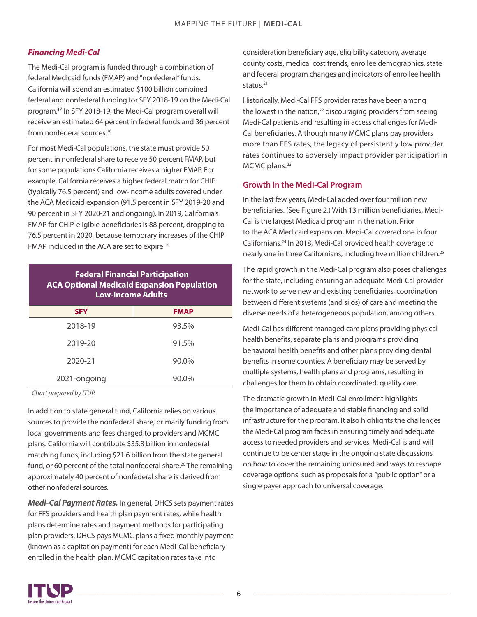#### <span id="page-5-0"></span>*Financing Medi-Cal*

The Medi-Cal program is funded through a combination of federal Medicaid funds (FMAP) and"nonfederal" funds. California will spend an estimated \$100 billion combined federal and nonfederal funding for SFY 2018-19 on the Medi-Cal program.[17](#page-25-0) In SFY 2018-19, the Medi-Cal program overall will receive an estimated 64 percent in federal funds and 36 percent from nonfederal sources.<sup>[18](#page-25-0)</sup>

For most Medi-Cal populations, the state must provide 50 percent in nonfederal share to receive 50 percent FMAP, but for some populations California receives a higher FMAP. For example, California receives a higher federal match for CHIP (typically 76.5 percent) and low-income adults covered under the ACA Medicaid expansion (91.5 percent in SFY 2019-20 and 90 percent in SFY 2020-21 and ongoing). In 2019, California's FMAP for CHIP-eligible beneficiaries is 88 percent, dropping to 76.5 percent in 2020, because temporary increases of the CHIP FMAP included in the ACA are set to expire.[19](#page-25-0)

#### **Federal Financial Participation ACA Optional Medicaid Expansion Population Low-Income Adults**

| <b>SFY</b>   | <b>FMAP</b> |
|--------------|-------------|
| 2018-19      | 93.5%       |
| 2019-20      | 91.5%       |
| 2020-21      | 90.0%       |
| 2021-ongoing | 90.0%       |

*Chart prepared by ITUP.*

In addition to state general fund, California relies on various sources to provide the nonfederal share, primarily funding from local governments and fees charged to providers and MCMC plans. California will contribute \$35.8 billion in nonfederal matching funds, including \$21.6 billion from the state general fund, or 60 percent of the total nonfederal share.<sup>20</sup> The remaining approximately 40 percent of nonfederal share is derived from other nonfederal sources.

*Medi-Cal Payment Rates.* In general, DHCS sets payment rates for FFS providers and health plan payment rates, while health plans determine rates and payment methods for participating plan providers. DHCS pays MCMC plans a fixed monthly payment (known as a capitation payment) for each Medi-Cal beneficiary enrolled in the health plan. MCMC capitation rates take into

consideration beneficiary age, eligibility category, average county costs, medical cost trends, enrollee demographics, state and federal program changes and indicators of enrollee health status.[21](#page-25-0)

Historically, Medi-Cal FFS provider rates have been among the lowest in the nation, $22$  discouraging providers from seeing Medi-Cal patients and resulting in access challenges for Medi-Cal beneficiaries. Although many MCMC plans pay providers more than FFS rates, the legacy of persistently low provider rates continues to adversely impact provider participation in MCMC plans.<sup>[23](#page-25-0)</sup>

#### **Growth in the Medi-Cal Program**

In the last few years, Medi-Cal added over four million new beneficiaries. (See Figure 2.) With 13 million beneficiaries, Medi-Cal is the largest Medicaid program in the nation. Prior to the ACA Medicaid expansion, Medi-Cal covered one in four Californians.[24](#page-25-0) In 2018, Medi-Cal provided health coverage to nearly one in three Californians, including five million children.<sup>[25](#page-25-0)</sup>

The rapid growth in the Medi-Cal program also poses challenges for the state, including ensuring an adequate Medi-Cal provider network to serve new and existing beneficiaries, coordination between different systems (and silos) of care and meeting the diverse needs of a heterogeneous population, among others.

Medi-Cal has different managed care plans providing physical health benefits, separate plans and programs providing behavioral health benefits and other plans providing dental benefits in some counties. A beneficiary may be served by multiple systems, health plans and programs, resulting in challenges for them to obtain coordinated, quality care.

The dramatic growth in Medi-Cal enrollment highlights the importance of adequate and stable financing and solid infrastructure for the program. It also highlights the challenges the Medi-Cal program faces in ensuring timely and adequate access to needed providers and services. Medi-Cal is and will continue to be center stage in the ongoing state discussions on how to cover the remaining uninsured and ways to reshape coverage options, such as proposals for a "public option" or a single payer approach to universal coverage.

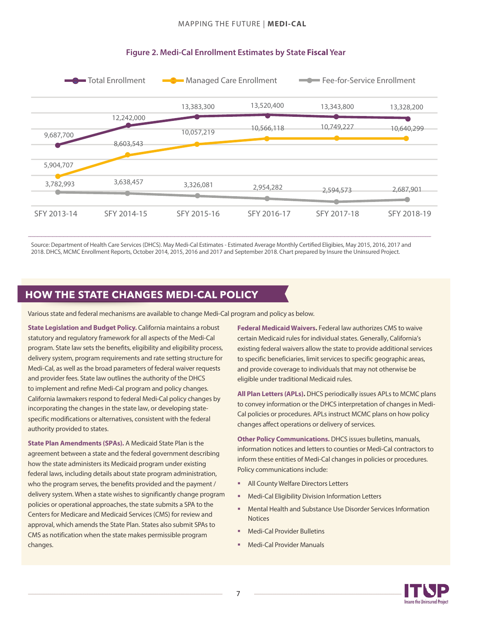

#### **Figure 2. Medi-Cal Enrollment Estimates by State Fiscal Year**

Source: Department of Health Care Services (DHCS). May Medi-Cal Estimates - Estimated Average Monthly Certified Eligibies, May 2015, 2016, 2017 and 2018. DHCS, MCMC Enrollment Reports, October 2014, 2015, 2016 and 2017 and September 2018. Chart prepared by Insure the Uninsured Project.

## **HOW THE STATE CHANGES MEDI-CAL POLICY**

Various state and federal mechanisms are available to change Medi-Cal program and policy as below.

**State Legislation and Budget Policy.** California maintains a robust statutory and regulatory framework for all aspects of the Medi-Cal program. State law sets the benefits, eligibility and eligibility process, delivery system, program requirements and rate setting structure for Medi-Cal, as well as the broad parameters of federal waiver requests and provider fees. State law outlines the authority of the DHCS to implement and refine Medi-Cal program and policy changes. California lawmakers respond to federal Medi-Cal policy changes by incorporating the changes in the state law, or developing statespecific modifications or alternatives, consistent with the federal authority provided to states.

**State Plan Amendments (SPAs).** A Medicaid State Plan is the agreement between a state and the federal government describing how the state administers its Medicaid program under existing federal laws, including details about state program administration, who the program serves, the benefits provided and the payment / delivery system. When a state wishes to significantly change program policies or operational approaches, the state submits a SPA to the Centers for Medicare and Medicaid Services (CMS) for review and approval, which amends the State Plan. States also submit SPAs to CMS as notification when the state makes permissible program changes.

**Federal Medicaid Waivers.** Federal law authorizes CMS to waive certain Medicaid rules for individual states. Generally, California's existing federal waivers allow the state to provide additional services to specific beneficiaries, limit services to specific geographic areas, and provide coverage to individuals that may not otherwise be eligible under traditional Medicaid rules.

**All Plan Letters (APLs).** DHCS periodically issues APLs to MCMC plans to convey information or the DHCS interpretation of changes in Medi-Cal policies or procedures. APLs instruct MCMC plans on how policy changes affect operations or delivery of services.

**Other Policy Communications.** DHCS issues bulletins, manuals, information notices and letters to counties or Medi-Cal contractors to inform these entities of Medi-Cal changes in policies or procedures. Policy communications include:

- All County Welfare Directors Letters
- § Medi-Cal Eligibility Division Information Letters
- § Mental Health and Substance Use Disorder Services Information **Notices**
- § Medi-Cal Provider Bulletins
- § Medi-Cal Provider Manuals

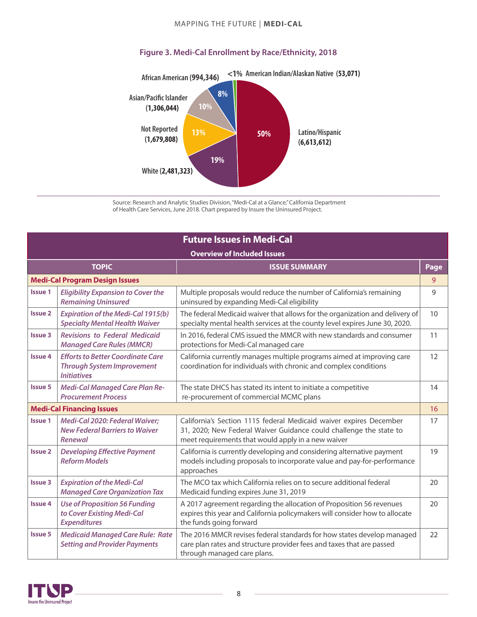#### MAPPING THE FUTURE | **MEDI-CAL**



#### **Figure 3. Medi-Cal Enrollment by Race/Ethnicity, 2018**

Source: Research and Analytic Studies Division,"Medi-Cal at a Glance," California Department of Health Care Services, June 2018. Chart prepared by Insure the Uninsured Project.

| <b>Future Issues in Medi-Cal</b>   |                                                                                                     |                                                                                                                                                                                                |      |  |
|------------------------------------|-----------------------------------------------------------------------------------------------------|------------------------------------------------------------------------------------------------------------------------------------------------------------------------------------------------|------|--|
| <b>Overview of Included Issues</b> |                                                                                                     |                                                                                                                                                                                                |      |  |
|                                    | <b>TOPIC</b>                                                                                        | <b>ISSUE SUMMARY</b>                                                                                                                                                                           | Page |  |
|                                    | <b>Medi-Cal Program Design Issues</b>                                                               |                                                                                                                                                                                                | 9    |  |
| <b>Issue 1</b>                     | <b>Eligibility Expansion to Cover the</b><br><b>Remaining Uninsured</b>                             | Multiple proposals would reduce the number of California's remaining<br>uninsured by expanding Medi-Cal eligibility                                                                            | 9    |  |
| <b>Issue 2</b>                     | <b>Expiration of the Medi-Cal 1915(b)</b><br><b>Specialty Mental Health Waiver</b>                  | The federal Medicaid waiver that allows for the organization and delivery of<br>specialty mental health services at the county level expires June 30, 2020.                                    | 10   |  |
| <b>Issue 3</b>                     | <b>Revisions to Federal Medicaid</b><br><b>Managed Care Rules (MMCR)</b>                            | In 2016, federal CMS issued the MMCR with new standards and consumer<br>protections for Medi-Cal managed care                                                                                  | 11   |  |
| <b>Issue 4</b>                     | <b>Efforts to Better Coordinate Care</b><br><b>Through System Improvement</b><br><b>Initiatives</b> | California currently manages multiple programs aimed at improving care<br>coordination for individuals with chronic and complex conditions                                                     | 12   |  |
| <b>Issue 5</b>                     | Medi-Cal Managed Care Plan Re-<br><b>Procurement Process</b>                                        | The state DHCS has stated its intent to initiate a competitive<br>re-procurement of commercial MCMC plans                                                                                      | 14   |  |
|                                    | <b>Medi-Cal Financing Issues</b>                                                                    |                                                                                                                                                                                                | 16   |  |
| <b>Issue 1</b>                     | Medi-Cal 2020: Federal Waiver;<br><b>New Federal Barriers to Waiver</b><br>Renewal                  | California's Section 1115 federal Medicaid waiver expires December<br>31, 2020; New Federal Waiver Guidance could challenge the state to<br>meet requirements that would apply in a new waiver | 17   |  |
| <b>Issue 2</b>                     | <b>Developing Effective Payment</b><br><b>Reform Models</b>                                         | California is currently developing and considering alternative payment<br>models including proposals to incorporate value and pay-for-performance<br>approaches                                | 19   |  |
| <b>Issue 3</b>                     | <b>Expiration of the Medi-Cal</b><br><b>Managed Care Organization Tax</b>                           | The MCO tax which California relies on to secure additional federal<br>Medicaid funding expires June 31, 2019                                                                                  | 20   |  |
| <b>Issue 4</b>                     | <b>Use of Proposition 56 Funding</b><br>to Cover Existing Medi-Cal<br><b>Expenditures</b>           | A 2017 agreement regarding the allocation of Proposition 56 revenues<br>expires this year and California policymakers will consider how to allocate<br>the funds going forward                 | 20   |  |
| <b>Issue 5</b>                     | <b>Medicaid Managed Care Rule: Rate</b><br><b>Setting and Provider Payments</b>                     | The 2016 MMCR revises federal standards for how states develop managed<br>care plan rates and structure provider fees and taxes that are passed<br>through managed care plans.                 | 22   |  |

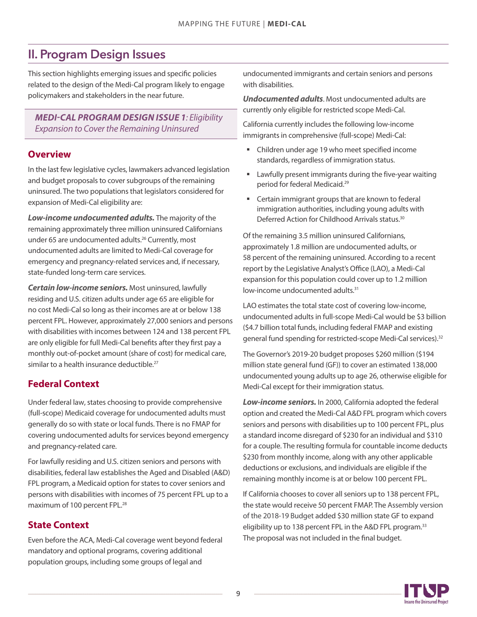## <span id="page-8-0"></span>II. Program Design Issues

This section highlights emerging issues and specific policies related to the design of the Medi-Cal program likely to engage policymakers and stakeholders in the near future.

#### *MEDI-CAL PROGRAM DESIGN ISSUE 1: Eligibility Expansion to Cover the Remaining Uninsured*

#### **Overview**

In the last few legislative cycles, lawmakers advanced legislation and budget proposals to cover subgroups of the remaining uninsured. The two populations that legislators considered for expansion of Medi-Cal eligibility are:

*Low-income undocumented adults.* The majority of the remaining approximately three million uninsured Californians under 65 are undocumented adults.<sup>[26](#page-25-0)</sup> Currently, most undocumented adults are limited to Medi-Cal coverage for emergency and pregnancy-related services and, if necessary, state-funded long-term care services.

*Certain low-income seniors.* Most uninsured, lawfully residing and U.S. citizen adults under age 65 are eligible for no cost Medi-Cal so long as their incomes are at or below 138 percent FPL. However, approximately 27,000 seniors and persons with disabilities with incomes between 124 and 138 percent FPL are only eligible for full Medi-Cal benefits after they first pay a monthly out-of-pocket amount (share of cost) for medical care, similar to a health insurance deductible.<sup>[27](#page-25-0)</sup>

## **Federal Context**

Under federal law, states choosing to provide comprehensive (full-scope) Medicaid coverage for undocumented adults must generally do so with state or local funds. There is no FMAP for covering undocumented adults for services beyond emergency and pregnancy-related care.

For lawfully residing and U.S. citizen seniors and persons with disabilities, federal law establishes the Aged and Disabled (A&D) FPL program, a Medicaid option for states to cover seniors and persons with disabilities with incomes of 75 percent FPL up to a maximum of 100 percent FPL.<sup>[28](#page-25-0)</sup>

## **State Context**

Even before the ACA, Medi-Cal coverage went beyond federal mandatory and optional programs, covering additional population groups, including some groups of legal and

undocumented immigrants and certain seniors and persons with disabilities.

*Undocumented adults*. Most undocumented adults are currently only eligible for restricted scope Medi-Cal.

California currently includes the following low-income immigrants in comprehensive (full-scope) Medi-Cal:

- Children under age 19 who meet specified income standards, regardless of immigration status.
- Lawfully present immigrants during the five-year waiting period for federal Medicaid. [29](#page-25-0)
- Certain immigrant groups that are known to federal immigration authorities, including young adults with Deferred Action for Childhood Arrivals status.<sup>[30](#page-25-0)</sup>

Of the remaining 3.5 million uninsured Californians, approximately 1.8 million are undocumented adults, or 58 percent of the remaining uninsured. According to a recent [report](http://www.lao.ca.gov/Publications/Report/3827) by the Legislative Analyst's Office (LAO), a Medi-Cal expansion for this population could cover up to 1.2 million low-income undocumented adults.<sup>[31](#page-25-0)</sup>

LAO estimates the total state cost of covering low-income, undocumented adults in full-scope Medi-Cal would be \$3 billion (\$4.7 billion total funds, including federal FMAP and existing general fund spending for restricted-scope Medi-Cal services).<sup>[32](#page-25-0)</sup>

The Governor's 2019-20 budget proposes \$260million (\$194 million state general fund (GF)) to cover an estimated 138,000 undocumented young adults up to age 26, otherwise eligible for Medi-Cal except for their immigration status.

*Low-income seniors.* In 2000, California adopted the federal option and created the Medi-Cal A&D FPL program which covers seniors and persons with disabilities up to 100 percent FPL, plus a standard income disregard of \$230 for an individual and \$310 for a couple. The resulting formula for countable income deducts \$230 from monthly income, along with any other applicable deductions or exclusions, and individuals are eligible if the remaining monthly income is at or below 100 percent FPL.

If California chooses to cover all seniors up to 138 percent FPL, the state would receive 50 percent FMAP. The Assembly version of the 2018-19 Budget added \$30million state GF to expand eligibility up to 138 percent FPL in the A&D FPL program.<sup>[33](#page-25-0)</sup> The proposal was not included in the final budget.

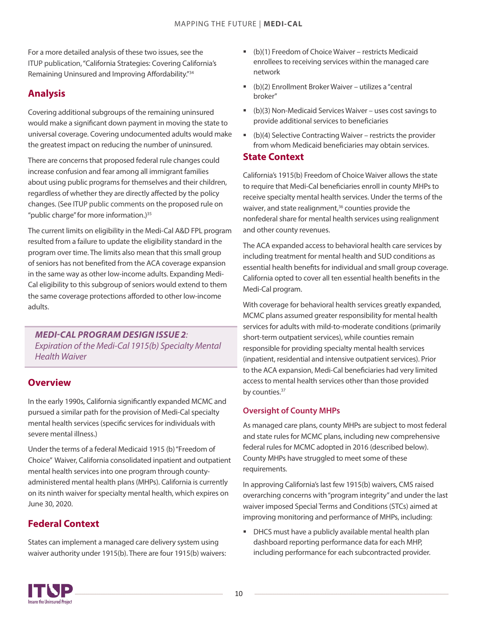<span id="page-9-0"></span>For a more detailed analysis of these two issues, see the ITUP publication, "California Strategies: Covering California's Remaining Uninsured and Improving Affordability."<sup>[34](#page-25-0)</sup>

## **Analysis**

Covering additional subgroups of the remaining uninsured would make a significant down payment in moving the state to universal coverage. Covering undocumented adults would make the greatest impact on reducing the number of uninsured.

There are concerns that proposed federal rule changes could increase confusion and fear among all immigrant families about using public programs for themselves and their children, regardless of whether they are directly affected by the policy changes. (See ITUP public comments on the proposed rule on "public charge" for more information.)<sup>[35](#page-25-0)</sup>

The current limits on eligibility in the Medi-Cal A&D FPL program resulted from a failure to update the eligibility standard in the program over time. The limits also mean that this small group of seniors has not benefited from the ACA coverage expansion in the same way as other low-income adults. Expanding Medi-Cal eligibility to this subgroup of seniors would extend to them the same coverage protections afforded to other low-income adults.

*MEDI-CAL PROGRAM DESIGN ISSUE 2: Expiration of the Medi-Cal 1915(b) Specialty Mental Health Waiver*

#### **Overview**

In the early 1990s, California significantly expanded MCMC and pursued a similar path for the provision of Medi-Cal specialty mental health services (specific services for individuals with severe mental illness.)

Under the terms of a federal Medicaid 1915 (b) "Freedom of Choice" Waiver, California consolidated inpatient and outpatient mental health services into one program through countyadministered mental health plans (MHPs). California is currently on its ninth waiver for specialty mental health, which expires on June 30, 2020.

## **Federal Context**

States can implement a managed care delivery system using waiver authority under 1915(b). There are four 1915(b) waivers:

- (b)(1) Freedom of Choice Waiver restricts Medicaid enrollees to receiving services within the managed care network
- (b)(2) Enrollment Broker Waiver utilizes a"central broker"
- (b)(3) Non-Medicaid Services Waiver uses cost savings to provide additional services to beneficiaries
- $(b)(4)$  Selective Contracting Waiver restricts the provider from whom Medicaid beneficiaries may obtain services.

#### **State Context**

California's 1915(b) Freedom of Choice Waiver allowsthe state to require that Medi-Cal beneficiaries enroll in county MHPs to receive specialty mental health services. Under the terms of the waiver, and state realignment,<sup>[36](#page-25-0)</sup> counties provide the nonfederal share for mental health services using realignment and other county revenues.

The ACA expanded access to behavioral health care services by including treatment for mental health and SUD conditions as essential health benefits for individual and small group coverage. California opted to cover all ten essential health benefits in the Medi-Cal program.

With coverage for behavioral health services greatly expanded, MCMC plans assumed greater responsibility for mental health services for adults with mild-to-moderate conditions (primarily short-term outpatient services), while counties remain responsible for providing specialty mental health services (inpatient, residential and intensive outpatient services). Prior to the ACA expansion, Medi-Cal beneficiaries had very limited access to mental health services other than those provided by counties.<sup>[37](#page-25-0)</sup>

#### **Oversight of County MHPs**

As managed care plans, county MHPs are subject to most federal and state rules for MCMC plans, including new comprehensive federal rules for MCMC adopted in 2016 (described below). County MHPs have struggled to meet some of these requirements.

In approving California's last few 1915(b) waivers, CMS raised overarching concerns with "program integrity" and under the last waiver imposed Special Terms and Conditions (STCs) aimed at improving monitoring and performance of MHPs, including:

**DHCS** must have a publicly available mental health plan dashboard reporting performance data for each MHP, including performance for each subcontracted provider.

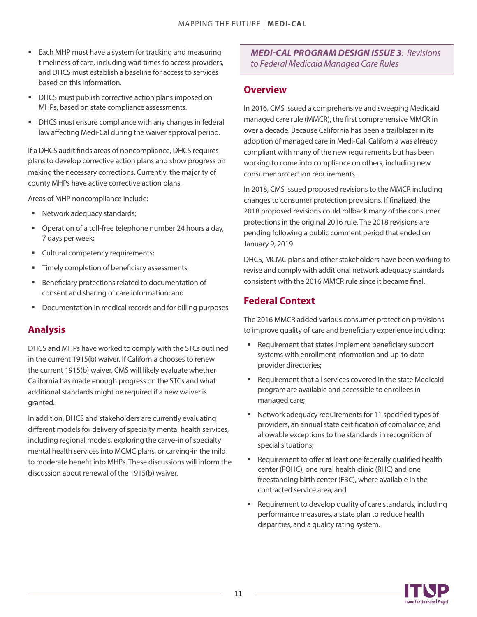- Each MHP must have a system for tracking and measuring timeliness of care, including wait times to access providers, and DHCS must establish a baseline for access to services based on this information.
- **DHCS** must publish corrective action plans imposed on MHPs, based on state compliance assessments.
- DHCS must ensure compliance with any changes in federal law affecting Medi-Cal during the waiver approval period.

If a DHCS audit finds areas of noncompliance, DHCS requires plans to develop corrective action plans and show progress on making the necessary corrections. Currently, the majority of county MHPs have active corrective action plans.

Areas of MHP noncompliance include:

- **Network adequacy standards;**
- Operation of a toll-free telephone number 24 hours a day, 7 days per week;
- **Cultural competency requirements;**
- Timely completion of beneficiary assessments;
- Beneficiary protections related to documentation of consent and sharing of care information; and
- **Documentation in medical records and for billing purposes.**

## **Analysis**

DHCS and MHPs have worked to comply with the STCs outlined in the current 1915(b) waiver. If California chooses to renew the current 1915(b) waiver, CMS will likely evaluate whether California has made enough progress on the STCs and what additional standards might be required if a new waiver is granted.

In addition, DHCS and stakeholders are currently evaluating different models for delivery of specialty mental health services, including regional models, exploring the carve-in of specialty mental health services into MCMC plans, or carving-in the mild to moderate benefit into MHPs. These discussions will inform the discussion about renewal of the 1915(b) waiver.

#### *MEDI-CAL PROGRAM DESIGN ISSUE 3: Revisions to Federal* Medicaid *Managed Care Rules*

#### **Overview**

In 2016, CMS issued a comprehensive and sweeping Medicaid managed care rule (MMCR), the first comprehensive MMCR in over a decade. Because California has been a trailblazer in its adoption of managed care in Medi-Cal, California was already compliant with many of the new requirements but has been working to come into compliance on others, including new consumer protection requirements.

In 2018, CMS issued proposed revisions to the MMCR including changes to consumer protection provisions. If finalized, the 2018 proposed revisions could rollback many of the consumer protections in the original 2016 rule. The 2018 revisions are pending following a public comment period that ended on January 9, 2019.

DHCS, MCMC plans and other stakeholders have been working to revise and comply with additional network adequacy standards consistent with the 2016 MMCR rule since it became final.

## **Federal Context**

The 2016 MMCR added various consumer protection provisions to improve quality of care and beneficiary experience including:

- Requirement that states implement beneficiary support systems with enrollment information and up-to-date provider directories;
- Requirement that all services covered in the state Medicaid program are available and accessible to enrollees in managed care;
- Network adequacy requirements for 11 specified types of providers, an annual state certification of compliance, and allowable exceptions to the standards in recognition of special situations;
- Requirement to offer at least one federally qualified health center (FQHC), one rural health clinic (RHC) and one freestanding birth center (FBC), where available in the contracted service area; and
- Requirement to develop quality of care standards, including performance measures, a state plan to reduce health disparities, and a quality rating system.

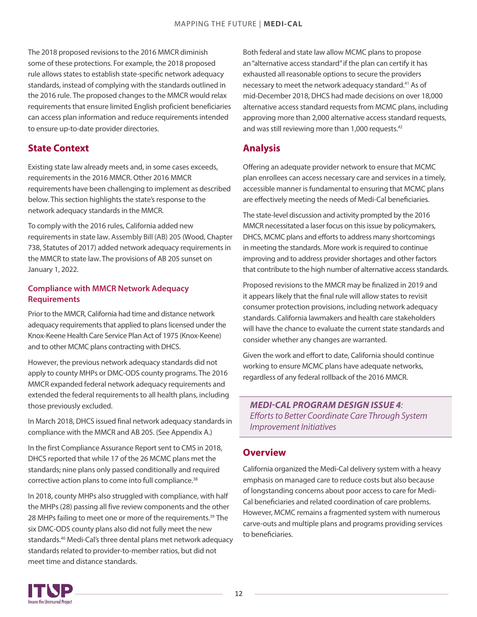<span id="page-11-0"></span>The 2018 proposed revisions to the 2016 MMCR diminish some of these protections. For example, the 2018 proposed rule allows states to establish state-specific network adequacy standards, instead of complying with the standards outlined in the 2016 rule. The proposed changes to the MMCR would relax requirements that ensure limited English proficient beneficiaries can access plan information and reduce requirements intended to ensure up-to-date provider directories.

## **State Context**

Existing state law already meets and, in some cases exceeds, requirements in the 2016 MMCR. Other 2016 MMCR requirements have been challenging to implement as described below. This section highlights the state's response to the network adequacy standards in the MMCR.

To comply with the 2016 rules, California added new requirements in state law. Assembly Bill (AB) 205 (Wood, Chapter 738, Statutes of 2017) added network adequacy requirements in the MMCR to state law. The provisions of AB 205 sunset on January 1, 2022.

#### **Compliance with MMCR Network Adequacy Requirements**

Prior to the MMCR, California had time and distance network adequacy requirements that applied to plans licensed under the Knox-Keene Health Care Service Plan Act of 1975 (Knox-Keene) and to other MCMC plans contracting with DHCS.

However, the previous network adequacy standards did not apply to county MHPs or DMC-ODS county programs. The 2016 MMCR expanded federal network adequacy requirements and extended the federal requirements to all health plans, including those previously excluded.

In March 2018, DHCS issued final network adequacy standards in compliance with the MMCR and AB 205. (See Appendix A.)

In the first Compliance Assurance Report sent to CMS in 2018, DHCS reported that while 17 of the 26 MCMC plans met the standards; nine plans only passed conditionally and required corrective action plans to come into full compliance.<sup>[38](#page-25-0)</sup>

In 2018, county MHPs also struggled with compliance, with half the MHPs (28) passing all five review components and the other 28 MHPs failing to meet one or more of the requirements.<sup>[39](#page-25-0)</sup> The six DMC-ODS county plans also did not fully meet the new standards.[40](#page-25-0) Medi-Cal's three dental plans met network adequacy standards related to provider-to-member ratios, but did not meet time and distance standards.

Both federal and state law allow MCMC plans to propose an "alternative access standard" if the plan can certify it has exhausted all reasonable options to secure the providers necessary to meet the network adequacy standard.<sup>[41](#page-25-0)</sup> As of mid-December 2018, DHCS had made decisions on over 18,000 alternative access standard requests from MCMC plans, including approving more than 2,000 alternative access standard requests, and was still reviewing more than 1,000 requests.<sup>42</sup>

## **Analysis**

Offering an adequate provider network to ensure that MCMC plan enrollees can access necessary care and services in a timely, accessible manner is fundamental to ensuring that MCMC plans are effectively meeting the needs of Medi-Cal beneficiaries.

The state-level discussion and activity prompted by the 2016 MMCR necessitated a laser focus on this issue by policymakers, DHCS, MCMC plans and efforts to address many shortcomings in meeting the standards. More work is required to continue improving and to address provider shortages and other factors that contribute to the high number of alternative access standards.

Proposed revisions to the MMCR may be finalized in 2019 and it appears likely that the final rule will allow states to revisit consumer protection provisions, including network adequacy standards. California lawmakers and health care stakeholders will have the chance to evaluate the current state standards and consider whether any changes are warranted.

Given the work and effort to date, California should continue working to ensure MCMC plans have adequate networks, regardless of any federal rollback of the 2016 MMCR.

*MEDI-CAL PROGRAM DESIGN ISSUE 4: Efforts to Better Coordinate Care Through System Improvement Initiatives*

## **Overview**

California organized the Medi-Cal delivery system with a heavy emphasis on managed care to reduce costs but also because of longstanding concerns about poor access to care for Medi-Cal beneficiaries and related coordination of care problems. However, MCMC remains a fragmented system with numerous carve-outs and multiple plans and programs providing services to beneficiaries.

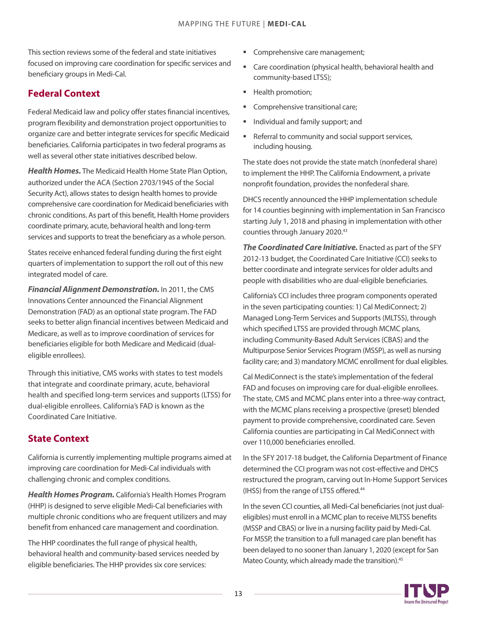This section reviews some of the federal and state initiatives focused on improving care coordination for specific services and beneficiary groups in Medi-Cal.

## **Federal Context**

Federal Medicaid law and policy offer states financial incentives, program flexibility and demonstration project opportunities to organize care and better integrate services for specific Medicaid beneficiaries. California participates in two federal programs as well as several other state initiatives described below.

Health Homes. The Medicaid Health Home State Plan Option, authorized under the ACA (Section 2703/1945 of the Social Security Act), allows states to design health homes to provide comprehensive care coordination for Medicaid beneficiaries with chronic conditions. As part of this benefit, Health Home providers coordinate primary, acute, behavioral health and long-term services and supports to treat the beneficiary as a whole person.

States receive enhanced federal funding during the first eight quarters of implementation to support the roll out of this new integrated model of care.

*Financial Alignment Demonstration.* In 2011, the CMS Innovations Center announced the Financial Alignment Demonstration (FAD) as an optional state program. The FAD seeks to better align financial incentives between Medicaid and Medicare, as well as to improve coordination of services for beneficiaries eligible for both Medicare and Medicaid (dualeligible enrollees).

Through this initiative, CMS works with states to test models that integrate and coordinate primary, acute, behavioral health and specified long-term services and supports (LTSS) for dual-eligible enrollees. California's FAD is known as the Coordinated Care Initiative.

## **State Context**

California is currently implementing multiple programs aimed at improving care coordination for Medi-Cal individuals with challenging chronic and complex conditions.

*Health Homes Program.* California's Health Homes Program (HHP) is designed to serve eligible Medi-Cal beneficiaries with multiple chronic conditions who are frequent utilizers and may benefit from enhanced care management and coordination.

The HHP coordinates the full range of physical health, behavioral health and community-based services needed by eligible beneficiaries. The HHP provides six core services:

- Comprehensive care management;
- Care coordination (physical health, behavioral health and community-based LTSS);
- **Health promotion;**
- Comprehensive transitional care;
- **Individual and family support; and**
- **Referral to community and social support services,** including housing.

The state does not provide the state match (nonfederal share) to implement the HHP. The California Endowment, a private nonprofit foundation, provides the nonfederal share.

DHCS recently announced the HHP implementation schedule for 14 counties beginning with implementation in San Francisco starting July 1, 2018 and phasing in implementation with other counties through January 2020.<sup>43</sup>

*The Coordinated Care Initiative.* Enacted as part of the SFY 2012-13 budget, the Coordinated Care Initiative (CCI) seeks to better coordinate and integrate services for older adults and people with disabilities who are dual-eligible beneficiaries.

California's CCI includes three program components operated in the seven participating counties: 1) Cal MediConnect; 2) Managed Long-Term Services and Supports (MLTSS), through which specified LTSS are provided through MCMC plans, including Community-Based Adult Services (CBAS) and the Multipurpose Senior Services Program (MSSP), as well as nursing facility care; and 3) mandatory MCMC enrollment for dual eligibles.

Cal MediConnect is the state's implementation of the federal FAD and focuses on improving care for dual-eligible enrollees. The state, CMS and MCMC plans enter into a three-way contract, with the MCMC plans receiving a prospective (preset) blended payment to provide comprehensive, coordinated care. Seven California counties are participating in Cal MediConnect with over 110,000 beneficiaries enrolled.

In the SFY 2017-18 budget, the California Department of Finance determined the CCI program was not cost-effective and DHCS restructured the program, carving out In-Home Support Services (IHSS) from the range of LTSS offered.<sup>44</sup>

In the seven CCI counties, all Medi-Cal beneficiaries (not just dualeligibles) must enroll in a MCMC plan to receive MLTSS benefits (MSSP and CBAS) or live in a nursing facility paid by Medi-Cal. For MSSP, the transition to a full managed care plan benefit has been delayed to no sooner than January 1, 2020 (except for San Mateo County, which already made the transition).<sup>45</sup>

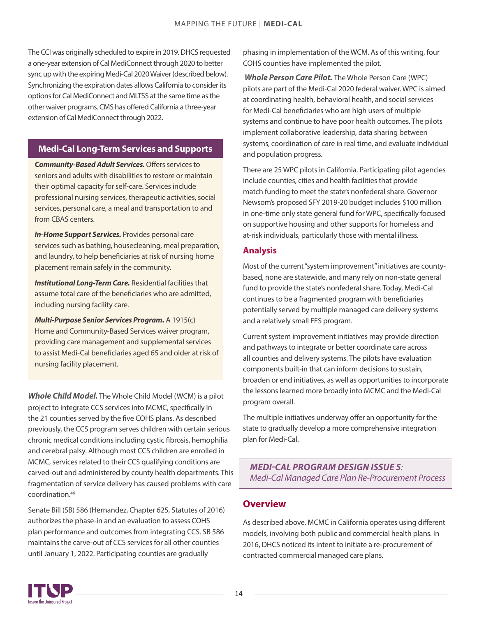The CCI was originally scheduled to expire in 2019. DHCS requested a one-year extension of Cal MediConnect through 2020 to better sync up with the expiring Medi-Cal 2020 Waiver (described below). Synchronizing the expiration dates allows California to consider its options for Cal MediConnect and MLTSS at the same time as the other waiver programs. CMS has offered California a three-year extension of Cal MediConnect through 2022.

#### **Medi-Cal Long-Term Services and Supports**

*Community-Based Adult Services.* Offers services to seniors and adults with disabilities to restore or maintain their optimal capacity for self-care. Services include professional nursing services, therapeutic activities, social services, personal care, a meal and transportation to and from CBAS centers.

*In-Home Support Services.* Provides personal care services such as bathing, housecleaning, meal preparation, and laundry, to help beneficiaries at risk of nursing home placement remain safely in the community.

*Institutional Long-Term Care.* Residential facilities that assume total care of the beneficiaries who are admitted, including nursing facility care.

*Multi-Purpose Senior Services Program.* A 1915(c) Home and Community-Based Services waiver program, providing care management and supplemental services to assist Medi-Cal beneficiaries aged 65 and older at risk of nursing facility placement.

*Whole Child Model.* The Whole Child Model (WCM) is a pilot project to integrate CCS services into MCMC, specifically in the 21 counties served by the five COHS plans. As described previously, the CCS program serves children with certain serious chronic medical conditions including cystic fibrosis, hemophilia and cerebral palsy. Although most CCS children are enrolled in MCMC, services related to their CCS qualifying conditions are carved-out and administered by county health departments. This fragmentation of service delivery has caused problems with care coordination.[46](#page-25-0)

Senate Bill (SB) 586 (Hernandez, Chapter 625, Statutes of 2016) authorizes the phase-in and an evaluation to assess COHS plan performance and outcomes from integrating CCS. SB 586 maintains the carve-out of CCS services for all other counties until January 1, 2022. Participating counties are gradually

phasing in implementation of the WCM. As of this writing, four COHS counties have implemented the pilot.

 *Whole Person Care Pilot.* The Whole Person Care (WPC) pilots are part of the Medi-Cal 2020 federal waiver. WPC is aimed at coordinating health, behavioral health, and social services for Medi-Cal beneficiaries who are high users of multiple systems and continue to have poor health outcomes. The pilots implement collaborative leadership, data sharing between systems, coordination of care in real time, and evaluate individual and population progress.

There are 25 WPC pilots in California. Participating pilot agencies include counties, cities and health facilities that provide match funding to meet the state's nonfederal share. Governor Newsom's proposed SFY 2019-20 budget includes \$100 million in one-time only state general fund for WPC, specifically focused on supportive housing and other supports for homeless and at-risk individuals, particularly those with mental illness.

#### **Analysis**

Most of the current "system improvement" initiatives are countybased, none are statewide, and many rely on non-state general fund to provide the state's nonfederal share. Today, Medi-Cal continues to be a fragmented program with beneficiaries potentially served by multiple managed care delivery systems and a relatively small FFS program.

Current system improvement initiatives may provide direction and pathways to integrate or better coordinate care across all counties and delivery systems. The pilots have evaluation components built-in that can inform decisions to sustain, broaden or end initiatives, as well as opportunities to incorporate the lessons learned more broadly into MCMC and the Medi-Cal program overall.

The multiple initiatives underway offer an opportunity for the state to gradually develop a more comprehensive integration plan for Medi-Cal.

*MEDI-CAL PROGRAM DESIGN ISSUE 5: Medi-Cal Managed Care Plan Re-Procurement Process*

## **Overview**

As described above, MCMC in California operates using different models, involving both public and commercial health plans. In 2016, DHCS noticed its intent to initiate a re-procurement of contracted commercial managed care plans.

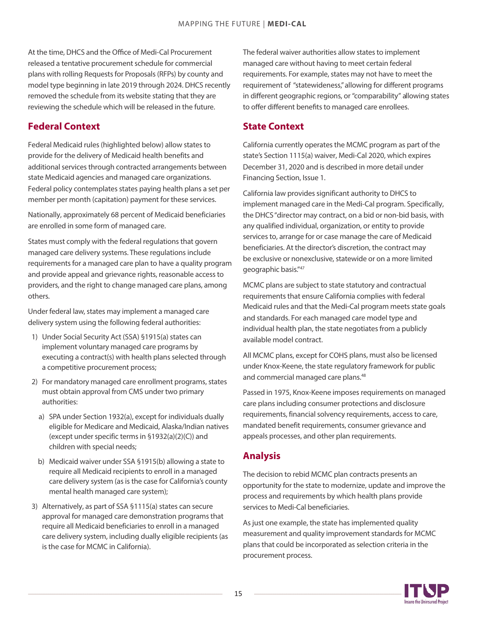At the time, DHCS and the Office of Medi-Cal Procurement released a tentative procurement schedule for commercial plans with rolling Requests for Proposals (RFPs) by county and model type beginning in late 2019 through 2024. DHCS recently removed the schedule from its website stating that they are reviewing the schedule which will be released in the future.

## **Federal Context**

Federal Medicaid rules (highlighted below) allow states to provide for the delivery of Medicaid health benefits and additional services through contracted arrangements between state Medicaid agencies and managed care organizations. Federal policy contemplates states paying health plans a set per member per month (capitation) payment for these services.

Nationally, approximately 68 percent of Medicaid beneficiaries are enrolled in some form of managed care.

States must comply with the federal regulations that govern managed care delivery systems. These regulations include requirements for a managed care plan to have a quality program and provide appeal and grievance rights, reasonable access to providers, and the right to change managed care plans, among others.

Under federal law, states may implement a managed care delivery system using the following federal authorities:

- 1) Under Social Security Act (SSA) §1915(a) states can implement voluntary managed care programs by executing a contract(s) with health plans selected through a competitive procurement process;
- 2) For mandatory managed care enrollment programs, states must obtain approval from CMS under two primary authorities:
	- a) SPA under Section 1932(a), except for individuals dually eligible for Medicare and Medicaid, Alaska/Indian natives (except under specific terms in §1932(a)(2)(C)) and children with special needs;
- b) Medicaid waiver under SSA §1915(b) allowing a state to require all Medicaid recipients to enroll in a managed care delivery system (as is the case for California's county mental health managed care system);
- 3) Alternatively, as part of SSA §1115(a) states can secure approval for managed care demonstration programs that require all Medicaid beneficiaries to enroll in a managed care delivery system, including dually eligible recipients (as is the case for MCMC in California).

The federal waiver authorities allow states to implement managed care without having to meet certain federal requirements. For example, states may not have to meet the requirement of "statewideness," allowing for different programs in different geographic regions, or "comparability" allowing states to offer different benefits to managed care enrollees.

## **State Context**

California currently operates the MCMC program as part of the state's Section 1115(a) waiver, Medi-Cal 2020, which expires December 31, 2020 and is described in more detail under Financing Section, Issue 1.

California law provides significant authority to DHCS to implement managed care in the Medi-Cal program. Specifically, the DHCS "director may contract, on a bid or non-bid basis, with any qualified individual, organization, or entity to provide services to, arrange for or case manage the care of Medicaid beneficiaries. At the director's discretion, the contract may be exclusive or nonexclusive, statewide or on a more limited geographic basis." [47](#page-25-0)

MCMC plans are subject to state statutory and contractual requirements that ensure California complies with federal Medicaid rules and that the Medi-Cal program meets state goals and standards. For each managed care model type and individual health plan, the state negotiates from a publicly available model contract.

All MCMC plans, except for COHS plans, must also be licensed under Knox-Keene, the state regulatory framework for public and commercial managed care plans.<sup>[48](#page-25-0)</sup>

Passed in 1975, Knox-Keene imposes requirements on managed care plans including consumer protections and disclosure requirements, financial solvency requirements, access to care, mandated benefit requirements, consumer grievance and appeals processes, and other plan requirements.

## **Analysis**

The decision to rebid MCMC plan contracts presents an opportunity for the state to modernize, update and improve the process and requirements by which health plans provide services to Medi-Cal beneficiaries.

As just one example, the state has implemented quality measurement and quality improvement standards for MCMC plans that could be incorporated as selection criteria in the procurement process.

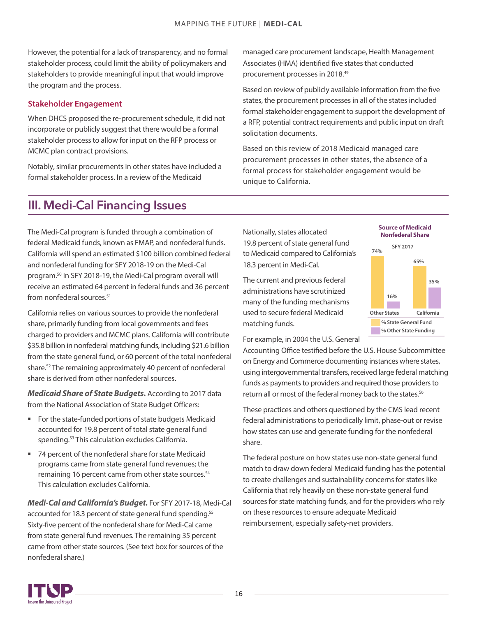<span id="page-15-0"></span>However, the potential for a lack of transparency, and no formal stakeholder process, could limit the ability of policymakers and stakeholders to provide meaningful input that would improve the program and the process.

#### **Stakeholder Engagement**

When DHCS proposed the re-procurement schedule, it did not incorporate or publicly suggest that there would be a formal stakeholder process to allow for input on the RFP process or MCMC plan contract provisions.

Notably, similar procurements in other states have included a formal stakeholder process. In a review of the Medicaid

managed care procurement landscape, Health Management Associates (HMA) identified five states that conducted procurement processes in 2018.[49](#page-25-0)

Based on review of publicly available information from the five states, the procurement processes in all of the states included formal stakeholder engagement to support the development of a RFP, potential contract requirements and public input on draft solicitation documents.

Based on this review of 2018 Medicaid managed care procurement processes in other states, the absence of a formal process for stakeholder engagement would be unique to California.

## III. Medi-Cal Financing Issues

The Medi-Cal program is funded through a combination of federal Medicaid funds, known as FMAP, and nonfederal funds. California will spend an estimated \$100 billion combined federal and nonfederal funding for SFY 2018-19 on the Medi-Cal program.[50](#page-25-0) In SFY 2018-19, the Medi-Cal program overall will receive an estimated 64 percent in federal funds and 36 percent from nonfederal sources.<sup>[51](#page-25-0)</sup>

California relies on various sources to provide the nonfederal share, primarily funding from local governments and fees charged to providers and MCMC plans. California will contribute \$35.8 billion in nonfederal matching funds, including \$21.6 billion from the state general fund, or 60 percent of the total nonfederal share. [52](#page-25-0) The remaining approximately 40 percent of nonfederal share is derived from other nonfederal sources.

**Medicaid** *Share of State Budgets.* According to 2017 data from the National Association of State Budget Officers:

- **For the state-funded portions of state budgets Medicaid** accounted for 19.8 percent of total state general fund spending.<sup>[53](#page-25-0)</sup> This calculation excludes California.
- 74 percent of the nonfederal share for state Medicaid programs came from state general fund revenues; the remaining 16 percent came from other state sources.<sup>[54](#page-25-0)</sup> This calculation excludes California.

*Medi-Cal and California's Budget.* For SFY 2017-18, Medi-Cal accounted for 18.3 percent of state general fund spending.<sup>55</sup> Sixty-five percent of the nonfederal share for Medi-Cal came from state general fund revenues. The remaining 35 percent came from other state sources. (See text box for sources of the nonfederal share.)

Nationally, states allocated 19.8 percent of state general fund to Medicaid compared to California's 18.3 percent in Medi-Cal.

The current and previous federal administrations have scrutinized many of the funding mechanisms used to secure federal Medicaid matching funds.

For example, in 2004 the U.S. General

Accounting Office testified before the U.S. House Subcommittee on Energy and Commerce documenting instances where states, using intergovernmental transfers, received large federal matching funds as payments to providers and required those providers to return all or most of the federal money back to the states.<sup>[56](#page-25-0)</sup>

These practices and others questioned by the CMS lead recent federal administrations to periodically limit, phase-out or revise how states can use and generate funding for the nonfederal share.

The federal posture on how states use non-state general fund match to draw down federal Medicaid funding has the potential to create challenges and sustainability concerns for states like California that rely heavily on these non-state general fund sources for state matching funds, and for the providers who rely on these resources to ensure adequate Medicaid reimbursement, especially safety-net providers.





**Source of Medicaid**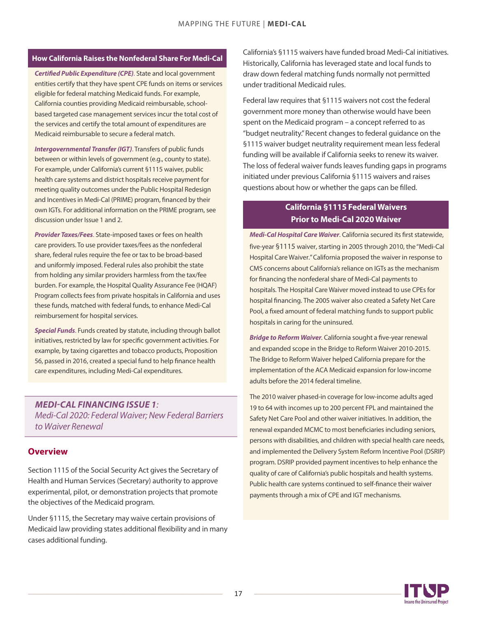#### **How California Raises the Nonfederal Share For Medi-Cal**

*Certified Public Expenditure (CPE)*. State and local government entities certify that they have spent CPE funds on items or services eligible for federal matching Medicaid funds. For example, California counties providing Medicaid reimbursable, schoolbased targeted case management services incur the total cost of the services and certify the total amount of expenditures are Medicaid reimbursable to secure a federal match.

*Intergovernmental Transfer (IGT)*. Transfers of public funds between or within levels of government (e.g., county to state). For example, under California's current §1115 waiver, public health care systems and district hospitals receive payment for meeting quality outcomes under the Public Hospital Redesign and Incentives in Medi-Cal (PRIME) program, financed by their own IGTs. For additional information on the PRIME program, see discussion under Issue 1 and 2.

*Provider Taxes/Fees*. State-imposed taxes or fees on health care providers. To use provider taxes/fees as the nonfederal share, federal rules require the fee or tax to be broad-based and uniformly imposed. Federal rules also prohibit the state from holding any similar providers harmless from the tax/fee burden. For example, the Hospital Quality Assurance Fee (HQAF) Program collects fees from private hospitals in California and uses these funds, matched with federal funds, to enhance Medi-Cal reimbursement for hospital services.

*Special Funds*. Funds created by statute, including through ballot initiatives, restricted by law for specific government activities. For example, by taxing cigarettes and tobacco products, Proposition 56, passed in 2016, created a special fund to help finance health care expenditures, including Medi-Cal expenditures.

*MEDI-CAL FINANCING ISSUE 1: Medi-Cal 2020: Federal Waiver; New Federal Barriers to Waiver Renewal*

#### **Overview**

Section 1115 of the Social Security Act gives the Secretary of Health and Human Services (Secretary) authority to approve experimental, pilot, or demonstration projects that promote the objectives of the Medicaid program.

Under §1115, the Secretary may waive certain provisions of Medicaid law providing states additional flexibility and in many cases additional funding.

California's §1115 waivers have funded broad Medi-Cal initiatives. Historically, California has leveraged state and local funds to draw down federal matching funds normally not permitted under traditional Medicaid rules.

Federal law requires that §1115 waivers not cost the federal government more money than otherwise would have been spent on the Medicaid program – a concept referred to as "budget neutrality." Recent changes to federal guidance on the §1115 waiver budget neutrality requirement mean less federal funding will be available if California seeks to renew its waiver. The loss of federal waiver funds leaves funding gaps in programs initiated under previous California §1115 waivers and raises questions about how or whether the gaps can be filled.

#### **California §1115 Federal Waivers Prior to Medi-Cal 2020 Waiver**

*Medi-Cal Hospital Care Waiver*. California secured its first statewide, five-year §1115 waiver, starting in 2005 through 2010, the"Medi-Cal Hospital Care Waiver." California proposed the waiver in response to CMS concerns about California's reliance on IGTs as the mechanism for financing the nonfederal share of Medi-Cal payments to hospitals. The Hospital Care Waiver moved instead to use CPEs for hospital financing. The 2005 waiver also created a Safety Net Care Pool, a fixed amount of federal matching funds to support public hospitals in caring for the uninsured.

*Bridge to Reform Waiver.* California sought a five-year renewal and expanded scope in the Bridge to Reform Waiver 2010-2015. The Bridge to Reform Waiver helped California prepare for the implementation of the ACA Medicaid expansion for low-income adults before the 2014 federal timeline.

The 2010 waiver phased-in coverage for low-income adults aged 19 to 64 with incomes up to 200 percent FPL and maintained the Safety Net Care Pool and other waiver initiatives. In addition, the renewal expanded MCMC to most beneficiaries including seniors, persons with disabilities, and children with special health care needs, and implemented the Delivery System Reform Incentive Pool (DSRIP) program. DSRIP provided payment incentives to help enhance the quality of care of California's public hospitals and health systems. Public health care systems continued to self-finance their waiver payments through a mix of CPE and IGT mechanisms.

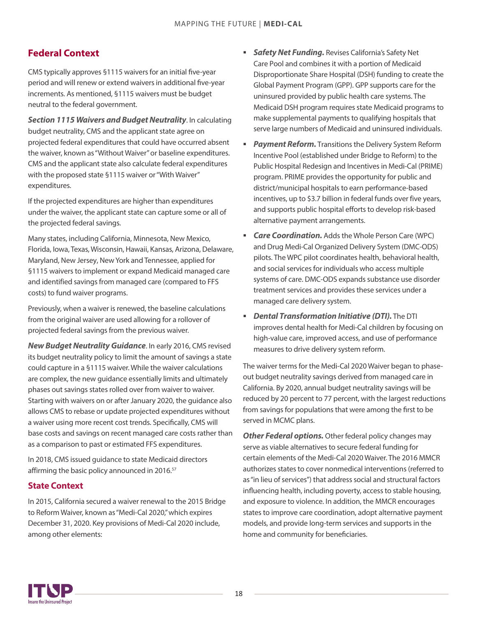## <span id="page-17-0"></span>**Federal Context**

CMS typically approves §1115 waivers for an initial five-year period and will renew or extend waivers in additional five-year increments. As mentioned, §1115 waivers must be budget neutral to the federal government.

*Section 1115 Waivers and Budget Neutrality*. In calculating budget neutrality, CMS and the applicant state agree on projected federal expenditures that could have occurred absent the waiver, known as"Without Waiver"or baseline expenditures. CMS and the applicant state also calculate federal expenditures with the proposed state §1115 waiver or "With Waiver" expenditures.

If the projected expenditures are higher than expenditures under the waiver, the applicant state can capture some or all of the projected federal savings.

Many states, including California, Minnesota, New Mexico, Florida, Iowa, Texas, Wisconsin, Hawaii, Kansas, Arizona, Delaware, Maryland, New Jersey, NewYork and Tennessee, applied for §1115 waivers to implement or expand Medicaid managed care and identified savings from managed care (compared to FFS costs) to fund waiver programs.

Previously, when a waiver is renewed, the baseline calculations from the original waiver are used allowing for a rollover of projected federal savings from the previous waiver.

**New Budget Neutrality Guidance**. In early 2016, CMS revised its budget neutrality policy to limit the amount of savings a state could capture in a §1115 waiver. While the waiver calculations are complex, the new guidance essentially limits and ultimately phases out savings states rolled over from waiver to waiver. Starting with waivers on or after January 2020, the guidance also allows CMS to rebase or update projected expenditures without a waiver using more recent cost trends. Specifically, CMS will base costs and savings on recent managed care costs rather than as a comparison to past or estimated FFS expenditures.

In 2018, CMS issued guidance to state Medicaid directors affirming the basic policy announced in 2016.<sup>[57](#page-25-0)</sup>

#### **State Context**

In 2015, California secured a waiver renewal to the 2015 Bridge to Reform Waiver, known as"Medi-Cal 2020,"which expires December 31, 2020. Key provisions of Medi-Cal 2020 include, among other elements:

- **Safety Net Funding.** Revises California's Safety Net Care Pool and combines it with a portion of Medicaid Disproportionate Share Hospital (DSH) funding to create the Global Payment Program (GPP). GPP supports care for the uninsured provided by public health care systems. The Medicaid DSH program requires state Medicaid programs to make supplemental payments to qualifying hospitals that serve large numbers of Medicaid and uninsured individuals.
- **Payment Reform.** Transitions the Delivery System Reform Incentive Pool (established under Bridge to Reform) to the Public Hospital Redesign and Incentives in Medi-Cal (PRIME) program. PRIME provides the opportunity for public and district/municipal hospitals to earn performance-based incentives, up to \$3.7 billion in federal funds over five years, and supports public hospital efforts to develop risk-based alternative payment arrangements.
- *Care Coordination.* Adds the Whole Person Care (WPC) and Drug Medi-Cal Organized Delivery System (DMC-ODS) pilots. The WPC pilot coordinates health, behavioral health, and social services for individuals who access multiple systems of care. DMC-ODS expands substance use disorder treatment services and provides these services under a managed care delivery system.
- *Dental Transformation Initiative (DTI).* The DTI improves dental health for Medi-Cal children by focusing on high-value care, improved access, and use of performance measures to drive delivery system reform.

The waiver terms for the Medi-Cal 2020 Waiver began to phaseout budget neutrality savings derived from managed care in California. By 2020, annual budget neutrality savings will be reduced by 20 percent to 77 percent, with the largest reductions from savings for populations that were among the first to be served in MCMC plans.

**Other Federal options.** Other federal policy changes may serve as viable alternatives to secure federal funding for certain elements of the Medi-Cal 2020 Waiver. The 2016 MMCR authorizes states to cover nonmedical interventions (referred to as "in lieu of services") that address social and structural factors influencing health, including poverty, access to stable housing, and exposure to violence. In addition, the MMCR encourages states to improve care coordination, adopt alternative payment models, and provide long-term services and supports in the home and community for beneficiaries.

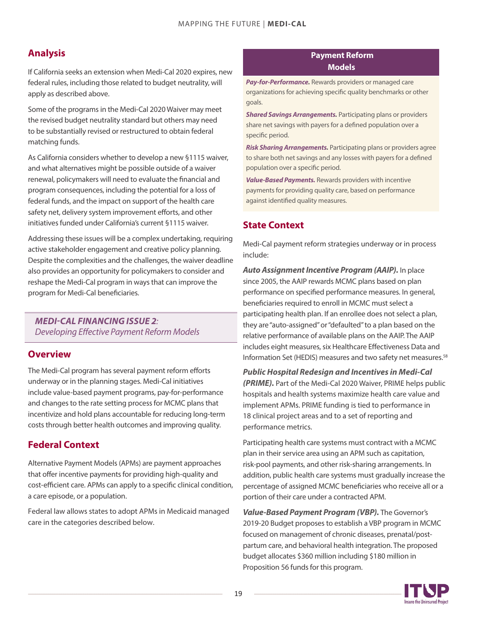## **Analysis**

If California seeks an extension when Medi-Cal 2020 expires, new federal rules, including those related to budget neutrality, will apply as described above.

Some of the programs in the Medi-Cal 2020 Waiver may meet the revised budget neutrality standard but others may need to be substantially revised or restructured to obtain federal matching funds.

As California considers whether to develop a new §1115 waiver, and what alternatives might be possible outside of a waiver renewal, policymakers will need to evaluate the financial and program consequences, including the potential for a loss of federal funds, and the impact on support of the health care safety net, delivery system improvement efforts, and other initiatives funded under California's current §1115 waiver.

Addressing these issues will be a complex undertaking, requiring active stakeholder engagement and creative policy planning. Despite the complexities and the challenges, the waiver deadline also provides an opportunity for policymakers to consider and reshape the Medi-Cal program in ways that can improve the program for Medi-Cal beneficiaries.

#### *MEDI-CAL FINANCING ISSUE 2: Developing Effective Payment Reform Models*

## **Overview**

The Medi-Cal program has several payment reform efforts underway or in the planning stages. Medi-Cal initiatives include value-based payment programs, pay-for-performance and changes to the rate setting process for MCMC plans that incentivize and hold plans accountable for reducing long-term costs through better health outcomes and improving quality.

## **Federal Context**

Alternative Payment Models (APMs) are payment approaches that offer incentive payments for providing high-quality and cost-efficient care. APMs can apply to a specific clinical condition, a care episode, or a population.

Federal law allows states to adopt APMs in Medicaid managed care in the categories described below.

#### **Payment Reform Models**

*Pay-for-Performance.* Rewards providers or managed care organizations for achieving specific quality benchmarks or other goals.

*Shared Savings Arrangements.* Participating plans or providers share net savings with payers for a defined population over a specific period.

*Risk Sharing Arrangements.* Participating plans or providers agree to share both net savings and any losses with payers for a defined population over a specific period.

*Value-Based Payments.* Rewards providers with incentive payments for providing quality care, based on performance against identified quality measures.

## **State Context**

Medi-Cal payment reform strategies underway or in process include:

*Auto Assignment Incentive Program (AAIP).* In place since 2005, the AAIP rewards MCMC plans based on plan performance on specified performance measures. In general, beneficiaries required to enroll in MCMC must select a participating health plan. If an enrollee does not select a plan, they are "auto-assigned" or "defaulted" to a plan based on the relative performance of available plans on the AAIP. The AAIP includes eight measures, six Healthcare Effectiveness Data and Information Set (HEDIS) measures and two safety net measures.<sup>58</sup>

*Public Hospital Redesign and Incentives in Medi-Cal (PRIME).* Part of the Medi-Cal 2020 Waiver, PRIME helps public hospitals and health systems maximize health care value and implement APMs. PRIME funding is tied to performance in 18 clinical project areas and to a set of reporting and performance metrics.

Participating health care systems must contract with a MCMC plan in their service area using an APM such as capitation, risk-pool payments, and other risk-sharing arrangements. In addition, public health care systems must gradually increase the percentage of assigned MCMC beneficiaries who receive all or a portion of their care under a contracted APM.

*Value-Based Payment Program (VBP).* The Governor's 2019-20 Budget proposes to establish a VBP program in MCMC focused on management of chronic diseases, prenatal/postpartum care, and behavioral health integration. The proposed budget allocates \$360 million including \$180 million in Proposition 56 funds for this program.

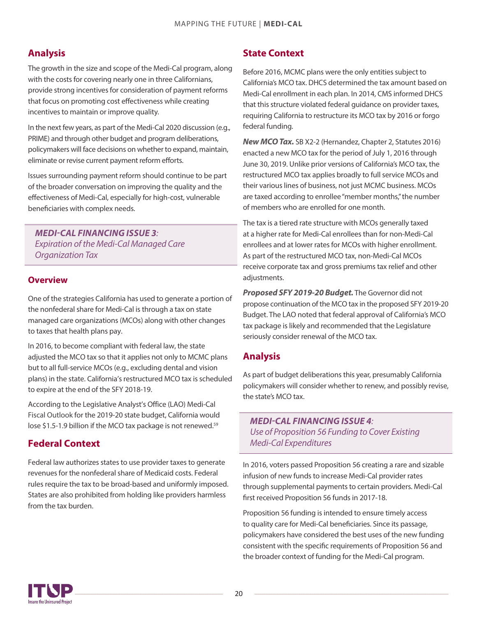## **Analysis**

The growth in the size and scope of the Medi-Cal program, along with the costs for covering nearly one in three Californians, provide strong incentives for consideration of payment reforms that focus on promoting cost effectiveness while creating incentives to maintain or improve quality.

In the next few years, as part of the Medi-Cal 2020 discussion (e.g., PRIME) and through other budget and program deliberations, policymakers will face decisions on whether to expand, maintain, eliminate or revise current payment reform efforts.

Issues surrounding payment reform should continue to be part of the broader conversation on improving the quality and the effectiveness of Medi-Cal, especially for high-cost, vulnerable beneficiaries with complex needs.

*MEDI-CAL FINANCING ISSUE 3: Expiration of the Medi-Cal Managed Care Organization Tax*

#### **Overview**

One of the strategies California has used to generate a portion of the nonfederal share for Medi-Cal is through a tax on state managed care organizations (MCOs) along with other changes to taxes that health plans pay.

In 2016, to become compliant with federal law, the state adjusted the MCO tax so that it applies not only to MCMC plans but to all full-service MCOs (e.g., excluding dental and vision plans) in the state. California's restructured MCO tax is scheduled to expire at the end of the SFY 2018-19.

According to the Legislative Analyst's Office (LAO) Medi-Cal Fiscal Outlook for the 2019-20 state budget, California would lose \$1.5-1.9 billion if the MCO tax package is not renewed.<sup>[59](#page-26-0)</sup>

## **Federal Context**

Federal law authorizes states to use provider taxes to generate revenues for the nonfederal share of Medicaid costs. Federal rules require the tax to be broad-based and uniformly imposed. States are also prohibited from holding like providers harmless from the tax burden.

## **State Context**

Before 2016, MCMC plans were the only entities subject to California's MCO tax. DHCS determined the tax amount based on Medi-Cal enrollment in each plan. In 2014, CMS informed DHCS that this structure violated federal guidance on provider taxes, requiring California to restructure its MCO tax by 2016 or forgo federal funding.

*New MCO Tax.* SB X2-2 (Hernandez, Chapter 2, Statutes 2016) enacted a new MCO tax for the period of July 1, 2016 through June 30, 2019. Unlike prior versions of California's MCO tax, the restructured MCO tax applies broadly to full service MCOs and their various lines of business, not just MCMC business. MCOs are taxed according to enrollee "member months,"the number of members who are enrolled for one month.

The tax is a tiered rate structure with MCOs generally taxed at a higher rate for Medi-Cal enrollees than for non-Medi-Cal enrollees and at lower rates for MCOs with higher enrollment. As part of the restructured MCO tax, non-Medi-Cal MCOs receive corporate tax and gross premiums tax relief and other adjustments.

*Proposed SFY 2019-20 Budget.* The Governor did not propose continuation of the MCO tax in the proposed SFY 2019-20 Budget. The LAO noted that federal approval of California's MCO tax package is likely and recommended that the Legislature seriously consider renewal of the MCO tax.

## **Analysis**

As part of budget deliberations this year, presumably California policymakers will consider whether to renew, and possibly revise, the state's MCO tax.

*MEDI-CAL FINANCING ISSUE 4: Use of Proposition 56 Funding to Cover Existing Medi-Cal Expenditures*

In 2016, voters passed Proposition 56 creating a rare and sizable infusion of new funds to increase Medi-Cal provider rates through supplemental payments to certain providers. Medi-Cal first received Proposition 56 funds in 2017-18.

Proposition 56 funding is intended to ensure timely access to quality care for Medi-Cal beneficiaries. Since its passage, policymakers have considered the best uses of the new funding consistent with the specific requirements of Proposition 56 and the broader context of funding for the Medi-Cal program.

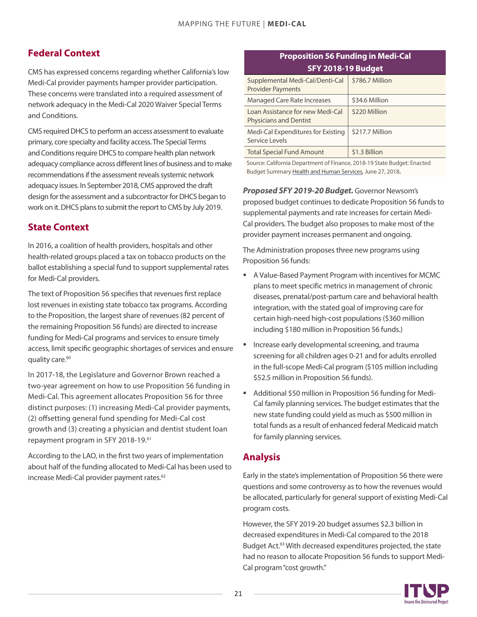## **Federal Context**

CMS has expressed concerns regarding whether California's low Medi-Cal provider payments hamper provider participation. These concerns were translated into a required assessment of network adequacy in the Medi-Cal 2020 Waiver Special Terms and Conditions.

CMS required DHCS to perform an access assessment to evaluate primary, core specialty and facility access. The Special Terms and Conditions require DHCS to compare health plan network adequacy compliance across different lines of business and to make recommendations if the assessment reveals systemic network adequacy issues. In September 2018, CMS approved the draft design for the assessment and a subcontractor for DHCS began to work on it. DHCS plans to submit the report to CMS by July 2019.

## **State Context**

In 2016, a coalition of health providers, hospitals and other health-related groups placed a tax on tobacco products on the ballot establishing a special fund to support supplemental rates for Medi-Cal providers.

The text of Proposition 56 specifies that revenues first replace lost revenues in existing state tobacco tax programs. According to the Proposition, the largest share of revenues (82 percent of the remaining Proposition 56 funds) are directed to increase funding for Medi-Cal programs and services to ensure timely access, limit specific geographic shortages of services and ensure quality care.<sup>[60](#page-26-0)</sup>

In 2017-18, the Legislature and Governor Brown reached a two-year agreement on how to use Proposition 56 funding in Medi-Cal. This agreement allocates Proposition 56 for three distinct purposes: (1) increasing Medi-Cal provider payments, (2) offsetting general fund spending for Medi-Cal cost growth and (3) creating a physician and dentist student loan repayment program in SFY 2018-19.[61](#page-26-0)

According to the LAO, in the first two years of implementation about half of the funding allocated to Medi-Cal has been used to increase Medi-Cal provider payment rates.<sup>[62](#page-26-0)</sup>

#### **Proposition 56 Funding in Medi-Cal SFY 2018-19 Budget**

| Supplemental Medi-Cal/Denti-Cal<br><b>Provider Payments</b>       | \$786.7 Million |
|-------------------------------------------------------------------|-----------------|
| <b>Managed Care Rate Increases</b>                                | \$34.6 Million  |
| Loan Assistance for new Medi-Cal<br><b>Physicians and Dentist</b> | \$220 Million   |
| Medi-Cal Expenditures for Existing<br>Service Levels              | \$217.7 Million |
| <b>Total Special Fund Amount</b>                                  | \$1.3 Billion   |

Source: California Department of Finance, 2018-19 State Budget: Enacted Budget Summary Health and Human Services, June 27, 2018.

*Proposed SFY 2019-20 Budget.* Governor Newsom's proposed budget continues to dedicate Proposition 56 funds to supplemental payments and rate increases for certain Medi-Cal providers. The budget also proposes to make most of the provider payment increases permanent and ongoing.

The Administration proposes three new programs using Proposition 56 funds:

- A Value-Based Payment Program with incentives for MCMC plans to meet specific metrics in management of chronic diseases, prenatal/post-partum care and behavioral health integration, with the stated goal of improving care for certain high-need high-cost populations (\$360 million including \$180 million in Proposition 56 funds.)
- **IF** Increase early developmental screening, and trauma screening for all children ages 0-21 and for adults enrolled in the full-scope Medi-Cal program (\$105 million including \$52.5 million in Proposition 56 funds).
- Additional \$50 million in Proposition 56 funding for Medi-Cal family planning services. The budget estimates that the new state funding could yield as much as \$500 million in total funds as a result of enhanced federal Medicaid match for family planning services.

## **Analysis**

Early in the state's implementation of Proposition 56 there were questions and some controversy as to how the revenues would be allocated, particularly for general support of existing Medi-Cal program costs.

However, the SFY 2019-20 budget assumes \$2.3 billion in decreased expenditures in Medi-Cal compared to the 2018 Budget Act.<sup>63</sup> With decreased expenditures projected, the state had no reason to allocate Proposition 56 funds to support Medi-Cal program "cost growth."

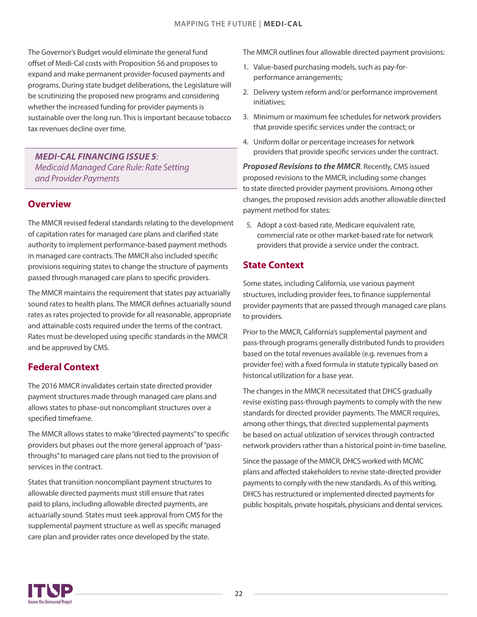The Governor's Budget would eliminate the general fund offset of Medi-Cal costs with Proposition 56 and proposes to expand and make permanent provider-focused payments and programs. During state budget deliberations, the Legislature will be scrutinizing the proposed new programs and considering whether the increased funding for provider payments is sustainable over the long run. This is important because tobacco tax revenues decline over time.

*MEDI-CAL FINANCING ISSUE 5: Medi*caid *Managed Care Rule: Rate Setting and Provider Payments*

#### **Overview**

The MMCR revised federal standards relating to the development of capitation rates for managed care plans and clarified state authority to implement performance-based payment methods in managed care contracts. The MMCR also included specific provisions requiring states to change the structure of payments passed through managed care plans to specific providers.

The MMCR maintains the requirement that states pay actuarially sound rates to health plans. The MMCR defines actuarially sound rates as rates projected to provide for all reasonable, appropriate and attainable costs required under the terms of the contract. Rates must be developed using specific standards in the MMCR and be approved by CMS.

## **Federal Context**

The 2016 MMCR invalidates certain state directed provider payment structures made through managed care plans and allows states to phase-out noncompliant structures over a specified timeframe.

The MMCR allows states to make "directed payments" to specific providers but phases out the more general approach of "passthroughs" to managed care plans not tied to the provision of services in the contract.

States that transition noncompliant payment structures to allowable directed payments must still ensure that rates paid to plans, including allowable directed payments, are actuarially sound. States must seek approval from CMS for the supplemental payment structure as well as specific managed care plan and provider rates once developed by the state.

The MMCR outlines four allowable directed payment provisions:

- 1. Value-based purchasing models, such as pay-forperformance arrangements;
- 2. Delivery system reform and/or performance improvement initiatives;
- 3. Minimum or maximum fee schedules for network providers that provide specific services under the contract; or
- 4. Uniform dollar or percentage increases for network providers that provide specific services under the contract.

*Proposed Revisions to the MMCR*. Recently, CMS issued proposed revisions to the MMCR, including some changes to state directed provider payment provisions. Among other changes, the proposed revision adds another allowable directed payment method for states:

5. Adopt a cost-based rate, Medicare equivalent rate, commercial rate or other market-based rate for network providers that provide a service under the contract.

## **State Context**

Some states, including California, use various payment structures, including provider fees, to finance supplemental provider payments that are passed through managed care plans to providers.

Prior to the MMCR, California's supplemental payment and pass-through programs generally distributed funds to providers based on the total revenues available (e.g. revenues from a provider fee) with a fixed formula in statute typically based on historical utilization for a base year.

The changes in the MMCR necessitated that DHCS gradually revise existing pass-through payments to comply with the new standards for directed provider payments. The MMCR requires, among other things, that directed supplemental payments be based on actual utilization of services through contracted network providers rather than a historical point-in-time baseline.

Since the passage of the MMCR, DHCS worked with MCMC plans and affected stakeholders to revise state-directed provider payments to comply with the new standards. As of this writing, DHCS has restructured or implemented directed payments for public hospitals, private hospitals, physicians and dental services.

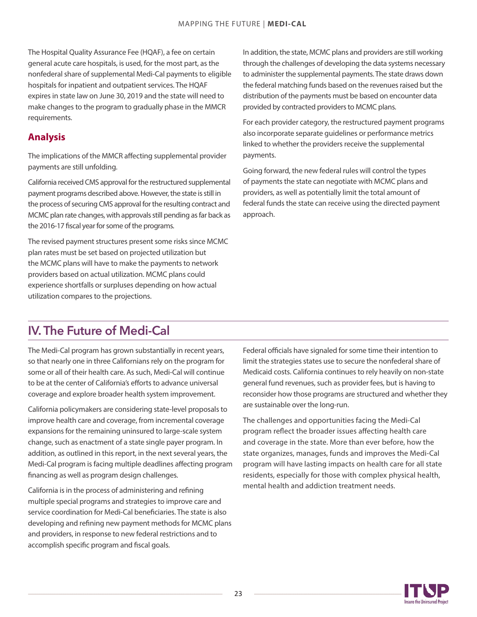<span id="page-22-0"></span>The Hospital Quality Assurance Fee (HQAF), a fee on certain general acute care hospitals, is used, for the most part, as the nonfederal share of supplemental Medi-Cal payments to eligible hospitals for inpatient and outpatient services. The HQAF expires in state law on June 30, 2019 and the state will need to make changes to the program to gradually phase in the MMCR requirements.

## **Analysis**

The implications of the MMCR affecting supplemental provider payments are still unfolding.

California received CMS approval for the restructured supplemental payment programs described above. However, the state is still in the process of securing CMS approval for the resulting contract and MCMC plan rate changes, with approvals still pending as far back as the 2016-17 fiscal year for some of the programs.

The revised payment structures present some risks since MCMC plan rates must be set based on projected utilization but the MCMC plans will have to make the payments to network providers based on actual utilization. MCMC plans could experience shortfalls or surpluses depending on how actual utilization compares to the projections.

In addition, the state, MCMC plans and providers are still working through the challenges of developing the data systems necessary to administer the supplemental payments. The state draws down the federal matching funds based on the revenues raised but the distribution of the payments must be based on encounter data provided by contracted providers to MCMC plans.

For each provider category, the restructured payment programs also incorporate separate guidelines or performance metrics linked to whether the providers receive the supplemental payments.

Going forward, the new federal rules will control the types of payments the state can negotiate with MCMC plans and providers, as well as potentially limit the total amount of federal funds the state can receive using the directed payment approach.

# IV. The Future of Medi-Cal

The Medi-Cal program has grown substantially in recent years, so that nearly one in three Californians rely on the program for some or all of their health care. As such, Medi-Cal will continue to be at the center of California's efforts to advance universal coverage and explore broader health system improvement.

California policymakers are considering state-level proposals to improve health care and coverage, from incremental coverage expansions for the remaining uninsured to large-scale system change, such as enactment of a state single payer program. In addition, as outlined in this report, in the next several years, the Medi-Cal program is facing multiple deadlines affecting program financing as well as program design challenges.

California is in the process of administering and refining multiple special programs and strategies to improve care and service coordination for Medi-Cal beneficiaries. The state is also developing and refining new payment methods for MCMC plans and providers, in response to new federal restrictions and to accomplish specific program and fiscal goals.

Federal officials have signaled for some time their intention to limit the strategies states use to secure the nonfederal share of Medicaid costs. California continues to rely heavily on non-state general fund revenues, such as provider fees, but is having to reconsider how those programs are structured and whether they are sustainable over the long-run.

The challenges and opportunities facing the Medi-Cal program reflect the broader issues affecting health care and coverage in the state. More than ever before, how the state organizes, manages, funds and improves the Medi-Cal program will have lasting impacts on health care for all state residents, especially for those with complex physical health, mental health and addiction treatment needs.

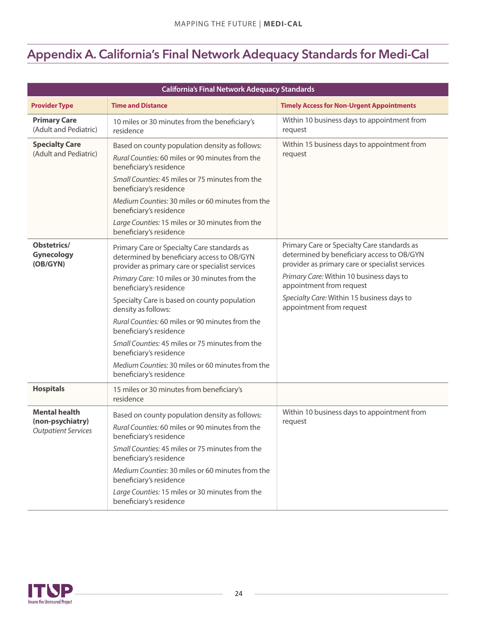# Appendix A. California's Final Network Adequacy Standards for Medi-Cal

| <b>California's Final Network Adequacy Standards</b>                   |                                                                                                                                                                                                                                                                                                                                                                                                                                                                                                                                            |                                                                                                                                                                                                                                                                                                |  |
|------------------------------------------------------------------------|--------------------------------------------------------------------------------------------------------------------------------------------------------------------------------------------------------------------------------------------------------------------------------------------------------------------------------------------------------------------------------------------------------------------------------------------------------------------------------------------------------------------------------------------|------------------------------------------------------------------------------------------------------------------------------------------------------------------------------------------------------------------------------------------------------------------------------------------------|--|
| <b>Provider Type</b>                                                   | <b>Time and Distance</b>                                                                                                                                                                                                                                                                                                                                                                                                                                                                                                                   | <b>Timely Access for Non-Urgent Appointments</b>                                                                                                                                                                                                                                               |  |
| <b>Primary Care</b><br>(Adult and Pediatric)                           | 10 miles or 30 minutes from the beneficiary's<br>residence                                                                                                                                                                                                                                                                                                                                                                                                                                                                                 | Within 10 business days to appointment from<br>request                                                                                                                                                                                                                                         |  |
| <b>Specialty Care</b><br>(Adult and Pediatric)                         | Based on county population density as follows:<br>Rural Counties: 60 miles or 90 minutes from the<br>beneficiary's residence<br>Small Counties: 45 miles or 75 minutes from the<br>beneficiary's residence<br>Medium Counties: 30 miles or 60 minutes from the<br>beneficiary's residence<br>Large Counties: 15 miles or 30 minutes from the<br>beneficiary's residence                                                                                                                                                                    | Within 15 business days to appointment from<br>request                                                                                                                                                                                                                                         |  |
| Obstetrics/<br><b>Gynecology</b><br>(OB/GYN)                           | Primary Care or Specialty Care standards as<br>determined by beneficiary access to OB/GYN<br>provider as primary care or specialist services<br>Primary Care: 10 miles or 30 minutes from the<br>beneficiary's residence<br>Specialty Care is based on county population<br>density as follows:<br>Rural Counties: 60 miles or 90 minutes from the<br>beneficiary's residence<br>Small Counties: 45 miles or 75 minutes from the<br>beneficiary's residence<br>Medium Counties: 30 miles or 60 minutes from the<br>beneficiary's residence | Primary Care or Specialty Care standards as<br>determined by beneficiary access to OB/GYN<br>provider as primary care or specialist services<br>Primary Care: Within 10 business days to<br>appointment from request<br>Specialty Care: Within 15 business days to<br>appointment from request |  |
| <b>Hospitals</b>                                                       | 15 miles or 30 minutes from beneficiary's<br>residence                                                                                                                                                                                                                                                                                                                                                                                                                                                                                     |                                                                                                                                                                                                                                                                                                |  |
| <b>Mental health</b><br>(non-psychiatry)<br><b>Outpatient Services</b> | Based on county population density as follows:<br>Rural Counties: 60 miles or 90 minutes from the<br>beneficiary's residence<br>Small Counties: 45 miles or 75 minutes from the<br>beneficiary's residence<br>Medium Counties: 30 miles or 60 minutes from the<br>beneficiary's residence<br>Large Counties: 15 miles or 30 minutes from the<br>beneficiary's residence                                                                                                                                                                    | Within 10 business days to appointment from<br>request                                                                                                                                                                                                                                         |  |

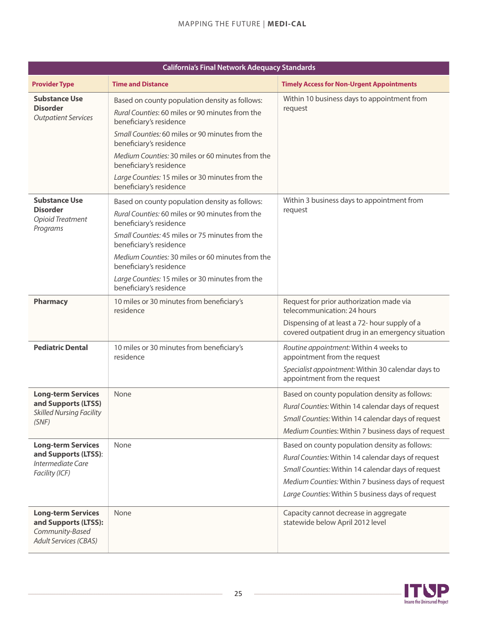| <b>California's Final Network Adequacy Standards</b>                                                 |                                                                                                                                                                                                                                                                                                                                                                         |                                                                                                                                                                                                                                                                       |  |
|------------------------------------------------------------------------------------------------------|-------------------------------------------------------------------------------------------------------------------------------------------------------------------------------------------------------------------------------------------------------------------------------------------------------------------------------------------------------------------------|-----------------------------------------------------------------------------------------------------------------------------------------------------------------------------------------------------------------------------------------------------------------------|--|
| <b>Provider Type</b>                                                                                 | <b>Time and Distance</b>                                                                                                                                                                                                                                                                                                                                                | <b>Timely Access for Non-Urgent Appointments</b>                                                                                                                                                                                                                      |  |
| <b>Substance Use</b><br><b>Disorder</b><br><b>Outpatient Services</b>                                | Based on county population density as follows:<br>Rural Counties: 60 miles or 90 minutes from the<br>beneficiary's residence<br>Small Counties: 60 miles or 90 minutes from the<br>beneficiary's residence<br>Medium Counties: 30 miles or 60 minutes from the<br>beneficiary's residence<br>Large Counties: 15 miles or 30 minutes from the<br>beneficiary's residence | Within 10 business days to appointment from<br>request                                                                                                                                                                                                                |  |
| <b>Substance Use</b><br><b>Disorder</b><br><b>Opioid Treatment</b><br>Programs                       | Based on county population density as follows:<br>Rural Counties: 60 miles or 90 minutes from the<br>beneficiary's residence<br>Small Counties: 45 miles or 75 minutes from the<br>beneficiary's residence<br>Medium Counties: 30 miles or 60 minutes from the<br>beneficiary's residence<br>Large Counties: 15 miles or 30 minutes from the<br>beneficiary's residence | Within 3 business days to appointment from<br>request                                                                                                                                                                                                                 |  |
| <b>Pharmacy</b>                                                                                      | 10 miles or 30 minutes from beneficiary's<br>residence                                                                                                                                                                                                                                                                                                                  | Request for prior authorization made via<br>telecommunication: 24 hours<br>Dispensing of at least a 72- hour supply of a<br>covered outpatient drug in an emergency situation                                                                                         |  |
| <b>Pediatric Dental</b>                                                                              | 10 miles or 30 minutes from beneficiary's<br>residence                                                                                                                                                                                                                                                                                                                  | Routine appointment: Within 4 weeks to<br>appointment from the request<br>Specialist appointment: Within 30 calendar days to<br>appointment from the request                                                                                                          |  |
| <b>Long-term Services</b><br>and Supports (LTSS)<br><b>Skilled Nursing Facility</b><br>(SNF)         | None                                                                                                                                                                                                                                                                                                                                                                    | Based on county population density as follows:<br>Rural Counties: Within 14 calendar days of request<br>Small Counties: Within 14 calendar days of request<br>Medium Counties: Within 7 business days of request                                                      |  |
| <b>Long-term Services</b><br>and Supports (LTSS):<br>Intermediate Care<br>Facility (ICF)             | None                                                                                                                                                                                                                                                                                                                                                                    | Based on county population density as follows:<br>Rural Counties: Within 14 calendar days of request<br>Small Counties: Within 14 calendar days of request<br>Medium Counties: Within 7 business days of request<br>Large Counties: Within 5 business days of request |  |
| <b>Long-term Services</b><br>and Supports (LTSS):<br>Community-Based<br><b>Adult Services (CBAS)</b> | None                                                                                                                                                                                                                                                                                                                                                                    | Capacity cannot decrease in aggregate<br>statewide below April 2012 level                                                                                                                                                                                             |  |

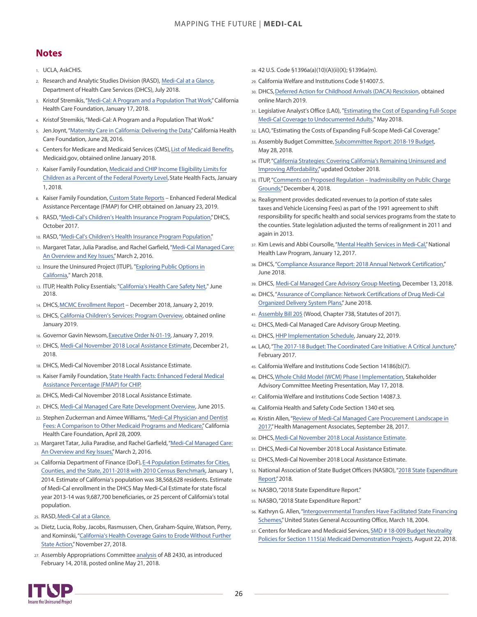## <span id="page-25-0"></span>**Notes**

- 1. UCLA, AskCHIS.
- 2. [R](#page-1-0)esearch and Analytic Studies Division (RASD), [Medi-Cal at a Glance](https://www.dhcs.ca.gov/dataandstats/statistics/Documents/Medi-Cal_at_a_Glance-July2018_ADA.pdf), Department of Health Care Services (DHCS), July 2018.
- 3. [K](#page-2-0)ristof Stremikis, "[Medi-Cal: A Program and a Population That Work](https://www.chcf.org/blog/medi-cal-program-population-work/)," California Health Care Foundation, January 17, 2018.
- 4. [K](#page-2-0)ristof Stremikis, "Medi-Cal: A Program and a Population That Work."
- 5. [Je](#page-2-0)n Joynt, ["Maternity Care in California: Delivering](https://www.chcf.org/publication/maternity-care-in-california-delivering-the-data/) the Data," California Health Care Foundation, June 28, 2016.
- 6. [Ce](#page-2-0)nters for Medicare and [Medicaid](https://www.medicaid.gov/medicaid/benefits/list-of-benefits/index.html) Services (CMS), List of Medicaid Benefits, Medicaid.gov, obtained online January 2018.
- 7. [K](#page-2-0)aiser Family Foundation, Medicaid and CHIP [Income Eligibility Limits for](https://www.kff.org/health-reform/state-indicator/medicaid-and-chip-income-eligibility-limits-for-children-as-a-percent-of-the-federal-poverty-level/?currentTimeframe=0&sortModel=%7B%22colId%22:%22Location%22,%22sort%22:%22asc%22%7D) [Children as a Percent of the Federal Poverty Level](https://www.kff.org/health-reform/state-indicator/medicaid-and-chip-income-eligibility-limits-for-children-as-a-percent-of-the-federal-poverty-level/?currentTimeframe=0&sortModel=%7B%22colId%22:%22Location%22,%22sort%22:%22asc%22%7D), State Health Facts, January 1, 2018.
- 8. [K](#page-2-0)aiser Family Foundation, [Custom State Reports](https://www.kff.org/statedata/custom-state-report/) Enhanced Federal Medical Assistance Percentage (FMAP) for CHIP, obtained on January 23, 2019.
- 9. [R](#page-2-0)ASD, "Medi-Cal's Children's Health Insurance Program Population," DHCS, October 2017.
- 10. [R](#page-2-0)ASD, "[Medi-Cal's Children's Health Insurance Program Population."](https://www.dhcs.ca.gov/dataandstats/statistics/Documents/CHIP_Paper_FINAL-ADA.pdf)
- 11. [Ma](#page-3-0)rgaret Tatar, Julia Paradise, and Rachel Garfield, ["Medi-Cal Managed Care:](https://www.kff.org/report-section/medi-cal-managed-care-an-overview-and-key-issues-issue-brief/) [An Overview and Key Issues,"](https://www.kff.org/report-section/medi-cal-managed-care-an-overview-and-key-issues-issue-brief/) March 2, 2016.
- 12. [Insure the Uninsured Project \(ITUP\),](http://www.itup.org/exploring-public-options-california/) "Exploring Public Options in California," March 2018.
- 13. [I](#page-3-0)TUP, Health Policy Essentials; "[California's Health Care Safety Net,](http://www.itup.org/californias-health-care-safety-net/)" June 2018.
- 14. [DH](#page-3-0)CS, [MCMC Enrollment Report](https://www.dhcs.ca.gov/dataandstats/reports/Documents/MMCD_Enrollment_Reports/MMCEnrollRptDec2018.pdf) December 2018, January 2, 2019.
- 15. [DH](#page-4-0)CS, [California Children's Services: Program Overview](https://www.dhcs.ca.gov/services/ccs/Pages/ProgramOverview.aspx), obtained online January 2019.
- 16. [G](#page-4-0)overnor Gavin Newsom, [Executive Order N-01-19,](https://www.gov.ca.gov/wp-content/uploads/2019/01/EO-N-01-19-Attested-01.07.19.pdf) January 7, 2019.
- 17. [DH](#page-5-0)CS, [Medi-Cal November 2018 Local Assistance Estimate,](https://www.dhcs.ca.gov/dataandstats/reports/mcestimates/Documents/2018_November_Estimate/N1899_Medi-Cal_Local_Assistance_Estimate.pdf) December 21, 2018.
- 18. [DH](#page-5-0)CS, Medi-Cal November 2018 Local Assistance Estimate.
- 19. [Ka](#page-5-0)iser Family Foundation, [State Health Facts: Enhanced Federal Medical](https://www.kff.org/other/state-indicator/enhanced-federal-matching-rate-chip/?currentTimeframe=1&sortModel=%7B%22colId%22:%22Location%22,%22sort%22:%22asc%22%7D) [Assistance Percentage \(FMAP\) for CHIP.](https://www.kff.org/other/state-indicator/enhanced-federal-matching-rate-chip/?currentTimeframe=1&sortModel=%7B%22colId%22:%22Location%22,%22sort%22:%22asc%22%7D)
- 20. [DH](#page-5-0)CS, Medi-Cal November 2018 Local Assistance Estimate.
- 21. [DH](#page-5-0)CS, [Medi-Cal Managed Care Rate Development Overview,](https://www.dmhc.ca.gov/Portals/0/AbouttheDMHC/FSSB/meetings/20150617/MediCal.pdf) June 2015.
- 22. [S](#page-5-0)tephen Zuckerman and Aimee Williams, ["Medi-Cal Physician and Dentist](https://www.chcf.org/publication/medi-cal-physician-and-dentist-fees-a-comparison-to-other-medicaid-programs-and-medicare/)  [Fees: A Comparison to Other](https://www.chcf.org/publication/medi-cal-physician-and-dentist-fees-a-comparison-to-other-medicaid-programs-and-medicare/) Medicaid Programs and Medicare," California [He](#page-5-0)alth Care Foundation, April 28, 2009.
- 23. Margaret Tatar, Julia Paradise, and Rachel Garfield, "Medi-Cal Managed Care: An Overview and Key Issues," March 2, 2016.
- 24. California Department of Finance (DoF), E-4 Population Estimates for Cities, Counties, and the State, 2011-2018 with 2010 Census Benchmark, January 1, 2014. Estimate of California's population was 38,568,628 residents. Estimate of Medi-Cal enrollment in the DHCS May Medi-Cal Estimate for state fiscal year 2013-14 was 9,687,700 beneficiaries, or 25 percent of California's total population.
- 25. RASD, Medi-Cal at a Glance.
- 26. Dietz, Lucia, Roby, Jacobs, Rasmussen, Chen, Graham-Squire, Watson, Perry, and Kominski, "California's Health Coverage Gains to Erode Without Further State Action," November 27, 2018.
- 27. Assembly Appropriations Committee analysis of AB 2430, as introduced February 14, 2018, posted online May 21, 2018.
- 28. [42](#page-8-0) U.S. Code §1396a(a)(10)(A)(ii)(X); §1396a(m).
- 29. [C](#page-8-0)alifornia Welfare and Institutions Code §14007.5.
- 30. DHCS[,](#page-8-0) [Deferred Action for Childhood Arrivals \(DACA\) Rescission,](https://www.dhcs.ca.gov/formsandpubs/publications/Pages/Deferred-Action-for-Childhood-Arrivals-FAQ.aspx) obtained online March 2019.
- 31. [Le](#page-8-0)gislative Analyst's Office (LA0), "Estimating the [Cost of Expanding Full-Scope](https://lao.ca.gov/Publications/Report/3827) [Medi-Cal Coverage to Undocumented Adults](https://lao.ca.gov/Publications/Report/3827)," May 2018.
- 32. [LA](#page-8-0)O, "Estimating the Costs of Expanding Full-Scope Medi-Cal Coverage."
- 33. [As](#page-8-0)sembly Budget Committee, [Subcommittee Report: 2018-19 Budget](https://abgt.assembly.ca.gov/sites/abgt.assembly.ca.gov/files/2018-19%20Subcommittee%20Report.pdf), May 28, 2018.
- 34. [IT](#page-9-0)UP,["California Strategies: Covering California's Remaining Uninsured and](http://www.itup.org/wp-content/uploads/2018/10/ITUP_CAStrategies_Oct2018.pdf) [Improving Affordability,"](http://www.itup.org/wp-content/uploads/2018/10/ITUP_CAStrategies_Oct2018.pdf)updated October 2018.
- 35. [IT](#page-9-0)UP,["Comments on Proposed Regulation Inadmissibility on Public Charge](http://www.itup.org/wp-content/uploads/2018/12/FINAL-Public-Charge-Comments_12.4.18.pdf) [Grounds,](http://www.itup.org/wp-content/uploads/2018/12/FINAL-Public-Charge-Comments_12.4.18.pdf)" December 4, 2018.
- 36. [R](#page-9-0)ealignment provides dedicated revenues to (a portion of state sales taxes and Vehicle Licensing Fees) as part of the 1991 agreement to shift responsibility for specific health and social services programs from the state to the counties. State legislation adjusted the terms of realignment in 2011 and again in 2013.
- 37. [K](#page-9-0)im Lewis and Abbi Coursolle, ["Mental Health Services in Medi-Cal,"](https://healthlaw.org/resource/issue-brief-mental-health-services-in-medi-cal/) National Health Law Program, January 12, 2017.
- 38. [D](#page-11-0)HCS, "[Compliance Assurance Report: 2018 Annual Network Certification](https://www.dhcs.ca.gov/formsandpubs/Documents/AssuranceofComplianceReportMCP.pdf)," June 2018.
- 39. DHCS, [Medi-Cal Managed Care Advisory Group Meeting,](https://www.dhcs.ca.gov/services/Documents/MCAG/121318MCAGPPt.pdf) December 13, 2018.
- 40. DHCS[, "Assurance of Compliance: Network Certifications of Drug Medi-Cal](https://www.dhcs.ca.gov/formsandpubs/Documents/DMC-ODSNetworkCertificationSummary06262018.pdf) [Organized Delivery System Plans](https://www.dhcs.ca.gov/formsandpubs/Documents/DMC-ODSNetworkCertificationSummary06262018.pdf),"June 2018.
- 41. [Assembly Bill 205](http://leginfo.legislature.ca.gov/faces/billNavClient.xhtml?bill_id=201720180AB205) (Wood, Chapter 738, Statutes of 2017).
- 42. DHCS, Medi-Cal Managed Care Advisory Group Meeting.
- 43. DHCS, [HHP Implementation Schedule,](https://www.dhcs.ca.gov/services/Documents/MCQMD/HHP_Implementation_Schedule_1.22.19.pdf) January 22, 2019.
- 44. LAO, "The 2017-18 Budget: [The Coordinated Care Initiative: A Critical Juncture,](https://lao.ca.gov/reports/2017/3585/coordinated-care-022717.pdf)" February 2017.
- 45. California Welfare and Institutions Code Section 14186(b)(7).
- 46. DHCS, [Whole Child Model \(WCM\) Phase I Implementation,](https://www.dhcs.ca.gov/services/Documents/WCM_Phase1.pdf) Stakeholder Advisory Committee Meeting Presentation, May 17, 2018.
- 47. California Welfare and Institutions Code Section 14087.3.
- 48. California Health and Safety Code Section 1340 et seq.
- 49. Kristin Allen, "[Review of Medi-Cal Managed Care](https://www.healthmanagement.com/blog/review-medicaid-managed-care-procurement-landscape-2017/) Procurement Landscape in [2017,](https://www.healthmanagement.com/blog/review-medicaid-managed-care-procurement-landscape-2017/)"Health Management Associates, September 28, 2017.
- 50. DHCS, [Medi-Cal November 2018 Local Assistance Estimate](https://www.dhcs.ca.gov/dataandstats/reports/mcestimates/Documents/2018_November_Estimate/N1899_Medi-Cal_Local_Assistance_Estimate.pdf).
- 51. DHCS, Medi-Cal November 2018 Local Assistance Estimate.
- 52. DHCS, Medi-Cal November 2018 Local Assistance Estimate.
- 53. [National Association of State Budget Officers \(NASBO\), "2018 State](https://higherlogicdownload.s3.amazonaws.com/NASBO/9d2d2db1-c943-4f1b-b750-0fca152d64c2/UploadedImages/SER%20Archive/2018_State_Expenditure_Report_S.pdf) Expenditure Report," 2018.
- 54. NASBO,"2018 State Expenditure Report."
- 55. NASBO,"2018 State Expenditure Report."
- 56. [K](#page-15-0)athryn G. Allen, ["Intergovernmental Transfers Have Facilitated State Financing](https://www.gao.gov/new.items/d04574t.pdf) [Schemes](https://www.gao.gov/new.items/d04574t.pdf)," United States General Accounting Office, March 18, 2004.
- 57. [C](#page-17-0)enters for Medicare and Medicaid Services, SMD # [18-009 Budget Neutrality](https://www.medicaid.gov/Federal-Policy-Guidance/downloads/SMD18009.pdf) [Policies for Section 1115\(a\)](https://www.medicaid.gov/Federal-Policy-Guidance/downloads/SMD18009.pdf) Medicaid Demonstration Projects, August 22, 2018.